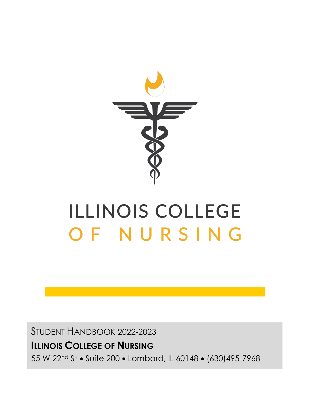

# **ILLINOIS COLLEGE** OF NURSING

STUDENT HANDBOOK 2022-2023

### **ILLINOIS COLLEGE OF NURSING**

55 W 22nd St • Suite 200 • Lombard, IL 60148 • (630)495-7968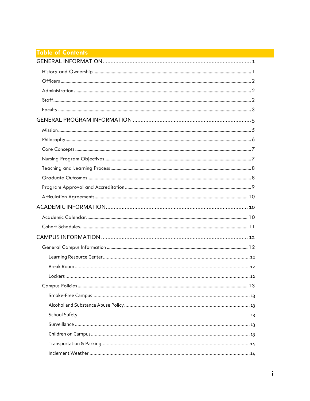### **Table of Contents Experimental Contents of Contents and Contents of Contents of Contents of Contents**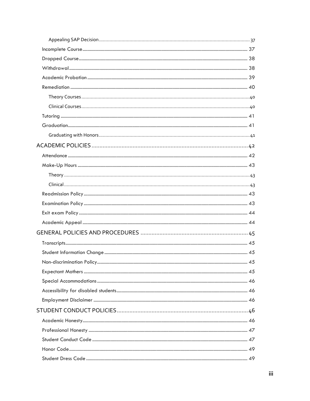| 45 |
|----|
|    |
|    |
|    |
|    |
|    |
|    |
|    |
|    |
|    |
|    |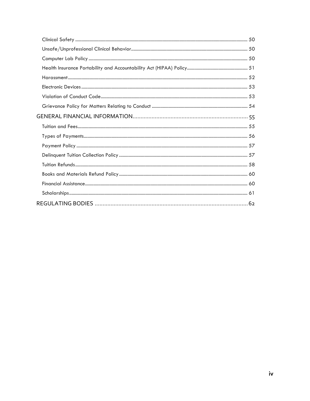<span id="page-4-0"></span>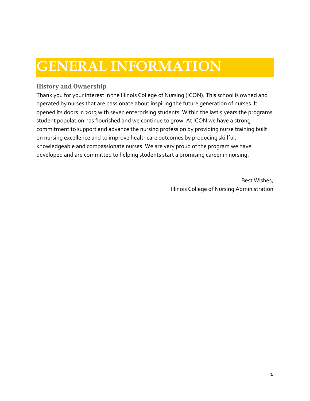### **GENERAL INFORMATION**

#### <span id="page-5-0"></span>**History and Ownership**

Thank you for your interest in the Illinois College of Nursing (ICON). This school is owned and operated by nurses that are passionate about inspiring the future generation of nurses. It opened its doors in 2013 with seven enterprising students. Within the last 5 years the programs student population has flourished and we continue to grow. At ICON we have a strong commitment to support and advance the nursing profession by providing nurse training built on nursing excellence and to improve healthcare outcomes by producing skillful, knowledgeable and compassionate nurses. We are very proud of the program we have developed and are committed to helping students start a promising career in nursing.

> Best Wishes, Illinois College of Nursing Administration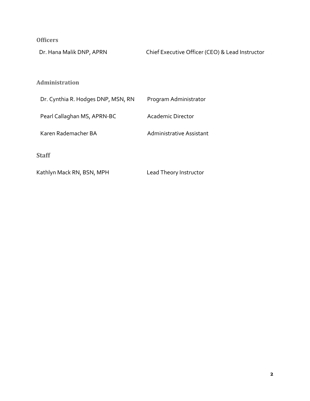<span id="page-6-0"></span>**Officers**

Dr. Hana Malik DNP, APRN Chief Executive Officer (CEO) & Lead Instructor

#### <span id="page-6-1"></span>**Administration**

| Dr. Cynthia R. Hodges DNP, MSN, RN | Program Administrator    |
|------------------------------------|--------------------------|
| Pearl Callaghan MS, APRN-BC        | Academic Director        |
| Karen Rademacher BA                | Administrative Assistant |
|                                    |                          |

<span id="page-6-2"></span>**Staff**

Kathlyn Mack RN, BSN, MPH Lead Theory Instructor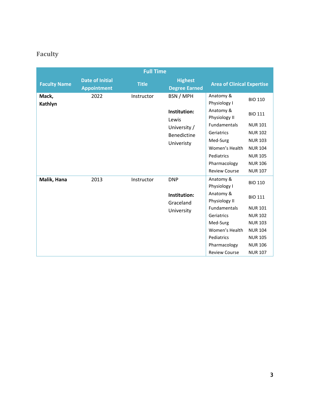### <span id="page-7-0"></span>**Faculty**

|                     |                                              | <b>Full Time</b> |                                        |                                   |                |
|---------------------|----------------------------------------------|------------------|----------------------------------------|-----------------------------------|----------------|
| <b>Faculty Name</b> | <b>Date of Initial</b><br><b>Appointment</b> | <b>Title</b>     | <b>Highest</b><br><b>Degree Earned</b> | <b>Area of Clinical Expertise</b> |                |
| Mack,<br>Kathlyn    | 2022                                         | Instructor       | BSN / MPH                              | Anatomy &<br>Physiology I         | <b>BIO 110</b> |
|                     |                                              |                  | Institution:<br>Lewis                  | Anatomy &<br>Physiology II        | <b>BIO 111</b> |
|                     |                                              |                  | University /                           | <b>Fundamentals</b>               | <b>NUR 101</b> |
|                     |                                              |                  | <b>Benedictine</b>                     | Geriatrics                        | <b>NUR 102</b> |
|                     |                                              |                  | Univeristy                             | Med-Surg                          | <b>NUR 103</b> |
|                     |                                              |                  |                                        | Women's Health                    | <b>NUR 104</b> |
|                     |                                              |                  |                                        | Pediatrics                        | <b>NUR 105</b> |
|                     |                                              |                  |                                        | Pharmacology                      | <b>NUR 106</b> |
|                     |                                              |                  |                                        | <b>Review Course</b>              | <b>NUR 107</b> |
| Malik, Hana         | 2013                                         | Instructor       | <b>DNP</b>                             | Anatomy &                         | <b>BIO 110</b> |
|                     |                                              |                  |                                        | Physiology I                      |                |
|                     |                                              |                  | Institution:<br>Graceland              | Anatomy &<br>Physiology II        | <b>BIO 111</b> |
|                     |                                              |                  | University                             | Fundamentals                      | <b>NUR 101</b> |
|                     |                                              |                  |                                        | Geriatrics                        | <b>NUR102</b>  |
|                     |                                              |                  |                                        | Med-Surg                          | <b>NUR 103</b> |
|                     |                                              |                  |                                        | Women's Health                    | <b>NUR 104</b> |
|                     |                                              |                  |                                        | Pediatrics                        | <b>NUR 105</b> |
|                     |                                              |                  |                                        | Pharmacology                      | <b>NUR 106</b> |
|                     |                                              |                  |                                        | <b>Review Course</b>              | <b>NUR 107</b> |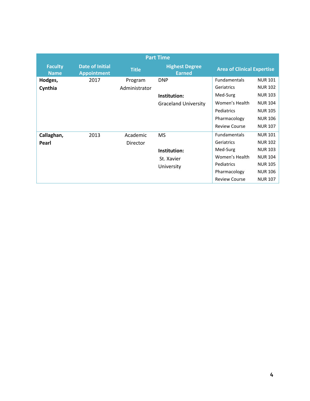| <b>Part Time</b>              |                                              |                          |                                                           |                                                                                                                |                                                                                                                            |  |  |
|-------------------------------|----------------------------------------------|--------------------------|-----------------------------------------------------------|----------------------------------------------------------------------------------------------------------------|----------------------------------------------------------------------------------------------------------------------------|--|--|
| <b>Faculty</b><br><b>Name</b> | <b>Date of Initial</b><br><b>Appointment</b> | <b>Title</b>             | <b>Highest Degree</b><br><b>Earned</b>                    | <b>Area of Clinical Expertise</b>                                                                              |                                                                                                                            |  |  |
| Hodges,<br>Cynthia            | 2017                                         | Program<br>Administrator | <b>DNP</b><br>Institution:<br><b>Graceland University</b> | Fundamentals<br>Geriatrics<br>Med-Surg<br>Women's Health<br>Pediatrics<br>Pharmacology<br><b>Review Course</b> | <b>NUR 101</b><br><b>NUR 102</b><br><b>NUR 103</b><br><b>NUR 104</b><br><b>NUR 105</b><br><b>NUR 106</b><br><b>NUR 107</b> |  |  |
| Callaghan,<br>Pearl           | 2013                                         | Academic<br>Director     | <b>MS</b><br>Institution:<br>St. Xavier<br>University     | Fundamentals<br>Geriatrics<br>Med-Surg<br>Women's Health<br>Pediatrics<br>Pharmacology<br><b>Review Course</b> | <b>NUR 101</b><br><b>NUR 102</b><br><b>NUR 103</b><br><b>NUR 104</b><br><b>NUR 105</b><br><b>NUR 106</b><br><b>NUR 107</b> |  |  |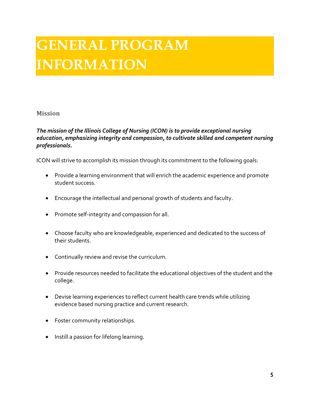## <span id="page-9-0"></span>**GENERAL PROGRAM INFORMATION**

#### <span id="page-9-1"></span>**Mission**

#### *The mission of the Illinois College of Nursing (ICON) is to provide exceptional nursing education, emphasizing integrity and compassion, to cultivate skilled and competent nursing professionals.*

ICON will strive to accomplish its mission through its commitment to the following goals:

- Provide a learning environment that will enrich the academic experience and promote student success.
- Encourage the intellectual and personal growth of students and faculty.
- Promote self-integrity and compassion for all.
- Choose faculty who are knowledgeable, experienced and dedicated to the success of their students.
- Continually review and revise the curriculum.
- Provide resources needed to facilitate the educational objectives of the student and the college.
- Devise learning experiences to reflect current health care trends while utilizing evidence based nursing practice and current research.
- Foster community relationships.
- Instill a passion for lifelong learning.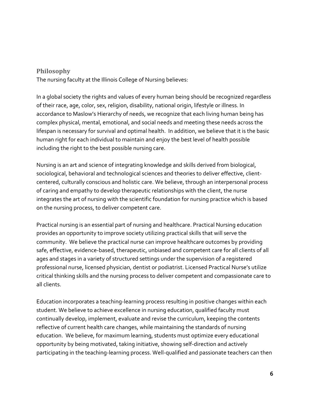#### <span id="page-10-0"></span>**Philosophy**

The nursing faculty at the Illinois College of Nursing believes:

In a global society the rights and values of every human being should be recognized regardless of their race, age, color, sex, religion, disability, national origin, lifestyle or illness. In accordance to Maslow's Hierarchy of needs, we recognize that each living human being has complex physical, mental, emotional, and social needs and meeting these needs across the lifespan is necessary for survival and optimal health. In addition, we believe that it is the basic human right for each individual to maintain and enjoy the best level of health possible including the right to the best possible nursing care.

Nursing is an art and science of integrating knowledge and skills derived from biological, sociological, behavioral and technological sciences and theories to deliver effective, clientcentered, culturally conscious and holistic care. We believe, through an interpersonal process of caring and empathy to develop therapeutic relationships with the client, the nurse integrates the art of nursing with the scientific foundation for nursing practice which is based on the nursing process, to deliver competent care.

Practical nursing is an essential part of nursing and healthcare. Practical Nursing education provides an opportunity to improve society utilizing practical skills that will serve the community. We believe the practical nurse can improve healthcare outcomes by providing safe, effective, evidence-based, therapeutic, unbiased and competent care for all clients of all ages and stages in a variety of structured settings under the supervision of a registered professional nurse, licensed physician, dentist or podiatrist. Licensed Practical Nurse's utilize critical thinking skills and the nursing process to deliver competent and compassionate care to all clients.

Education incorporates a teaching-learning process resulting in positive changes within each student. We believe to achieve excellence in nursing education, qualified faculty must continually develop, implement, evaluate and revise the curriculum, keeping the contents reflective of current health care changes, while maintaining the standards of nursing education. We believe, for maximum learning, students must optimize every educational opportunity by being motivated, taking initiative, showing self-direction and actively participating in the teaching-learning process. Well-qualified and passionate teachers can then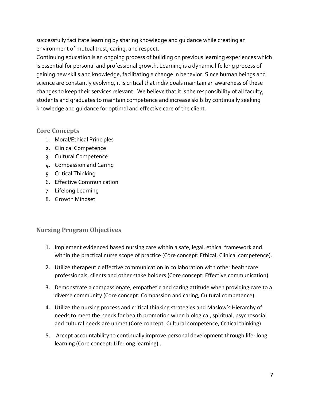successfully facilitate learning by sharing knowledge and guidance while creating an environment of mutual trust, caring, and respect.

Continuing education is an ongoing process of building on previous learning experiences which is essential for personal and professional growth. Learning is a dynamic life long process of gaining new skills and knowledge, facilitating a change in behavior. Since human beings and science are constantly evolving, it is critical that individuals maintain an awareness of these changes to keep their services relevant. We believe that it is the responsibility of all faculty, students and graduates to maintain competence and increase skills by continually seeking knowledge and guidance for optimal and effective care of the client.

#### <span id="page-11-0"></span>**Core Concepts**

- 1. Moral/Ethical Principles
- 2. Clinical Competence
- 3. Cultural Competence
- 4. Compassion and Caring
- 5. Critical Thinking
- 6. Effective Communication
- 7. Lifelong Learning
- 8. Growth Mindset

#### <span id="page-11-1"></span>**Nursing Program Objectives**

- 1. Implement evidenced based nursing care within a safe, legal, ethical framework and within the practical nurse scope of practice (Core concept: Ethical, Clinical competence).
- 2. Utilize therapeutic effective communication in collaboration with other healthcare professionals, clients and other stake holders (Core concept: Effective communication)
- 3. Demonstrate a compassionate, empathetic and caring attitude when providing care to a diverse community (Core concept: Compassion and caring, Cultural competence).
- 4. Utilize the nursing process and critical thinking strategies and Maslow's Hierarchy of needs to meet the needs for health promotion when biological, spiritual, psychosocial and cultural needs are unmet (Core concept: Cultural competence, Critical thinking)
- 5. Accept accountability to continually improve personal development through life- long learning (Core concept: Life-long learning) .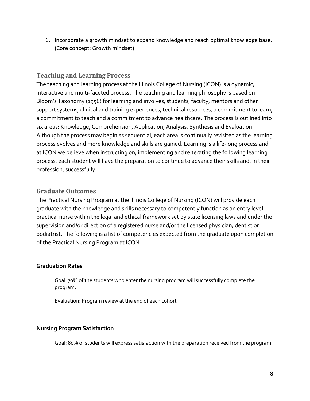6. Incorporate a growth mindset to expand knowledge and reach optimal knowledge base. (Core concept: Growth mindset)

#### <span id="page-12-0"></span>**Teaching and Learning Process**

The teaching and learning process at the Illinois College of Nursing (ICON) is a dynamic, interactive and multi-faceted process. The teaching and learning philosophy is based on Bloom's Taxonomy (1956) for learning and involves, students, faculty, mentors and other support systems, clinical and training experiences, technical resources, a commitment to learn, a commitment to teach and a commitment to advance healthcare. The process is outlined into six areas: Knowledge, Comprehension, Application, Analysis, Synthesis and Evaluation. Although the process may begin as sequential, each area is continually revisited as the learning process evolves and more knowledge and skills are gained. Learning is a life-long process and at ICON we believe when instructing on, implementing and reiterating the following learning process, each student will have the preparation to continue to advance their skills and, in their profession, successfully.

#### <span id="page-12-1"></span>**Graduate Outcomes**

The Practical Nursing Program at the Illinois College of Nursing (ICON) will provide each graduate with the knowledge and skills necessary to competently function as an entry level practical nurse within the legal and ethical framework set by state licensing laws and under the supervision and/or direction of a registered nurse and/or the licensed physician, dentist or podiatrist. The following is a list of competencies expected from the graduate upon completion of the Practical Nursing Program at ICON.

#### **Graduation Rates**

Goal: 70% of the students who enter the nursing program will successfully complete the program.

Evaluation: Program review at the end of each cohort

#### **Nursing Program Satisfaction**

Goal: 80% of students will express satisfaction with the preparation received from the program.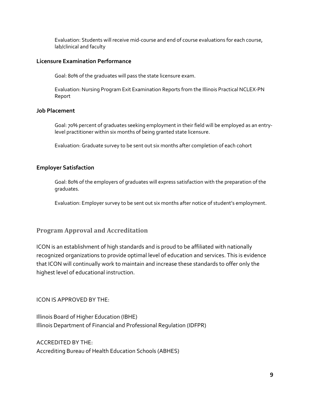Evaluation: Students will receive mid-course and end of course evaluations for each course, lab/clinical and faculty

#### **Licensure Examination Performance**

Goal: 80% of the graduates will pass the state licensure exam.

Evaluation: Nursing Program Exit Examination Reports from the Illinois Practical NCLEX-PN Report

#### **Job Placement**

Goal: 70% percent of graduates seeking employment in their field will be employed as an entrylevel practitioner within six months of being granted state licensure.

Evaluation: Graduate survey to be sent out six months after completion of each cohort

#### **Employer Satisfaction**

Goal: 80% of the employers of graduates will express satisfaction with the preparation of the graduates.

Evaluation: Employer survey to be sent out six months after notice of student's employment.

#### <span id="page-13-0"></span>**Program Approval and Accreditation**

ICON is an establishment of high standards and is proud to be affiliated with nationally recognized organizations to provide optimal level of education and services. This is evidence that ICON will continually work to maintain and increase these standards to offer only the highest level of educational instruction.

#### ICON IS APPROVED BY THE:

Illinois Board of Higher Education (IBHE) Illinois Department of Financial and Professional Regulation (IDFPR)

#### ACCREDITED BY THE:

Accrediting Bureau of Health Education Schools (ABHES)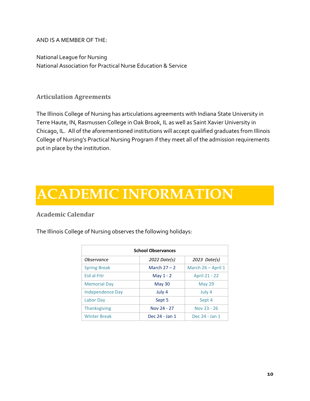AND IS A MEMBER OF THE:

National League for Nursing National Association for Practical Nurse Education & Service

#### <span id="page-14-0"></span>**Articulation Agreements**

The Illinois College of Nursing has articulations agreements with Indiana State University in Terre Haute, IN, Rasmussen College in Oak Brook, IL as well as Saint Xavier University in Chicago, IL. All of the aforementioned institutions will accept qualified graduates from Illinois College of Nursing's Practical Nursing Program if they meet all of the admission requirements put in place by the institution.

### <span id="page-14-1"></span>**ACADEMIC INFORMATION**

#### <span id="page-14-2"></span>**Academic Calendar**

The Illinois College of Nursing observes the following holidays:

| <b>School Observances</b>                |                |                    |  |  |
|------------------------------------------|----------------|--------------------|--|--|
| <i><b>Observance</b></i><br>2022 Date(s) |                | 2023 Date(s)       |  |  |
| <b>Spring Break</b>                      | March $27 - 2$ | March 26 - April 1 |  |  |
| Eid al-Fitr                              | May $1 - 2$    | April 21 - 22      |  |  |
| <b>Memorial Day</b>                      | May 30         | May 29             |  |  |
| Independence Day                         | July 4         | July 4             |  |  |
| Labor Day                                | Sept 5         | Sept 4             |  |  |
| <b>Thanksgiving</b>                      | Nov 24 - 27    | Nov 23 - 26        |  |  |
| <b>Winter Break</b>                      | Dec 24 - Jan 1 | Dec 24 - Jan 1     |  |  |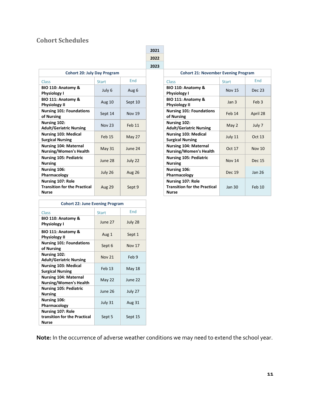#### <span id="page-15-0"></span>**Cohort Schedules**

|                                                                          |               |               | 2022 |                                                                          |                  |                  |
|--------------------------------------------------------------------------|---------------|---------------|------|--------------------------------------------------------------------------|------------------|------------------|
|                                                                          |               |               | 2023 |                                                                          |                  |                  |
| <b>Cohort 20: July Day Program</b>                                       |               |               |      | <b>Cohort 21: November Evening Program</b>                               |                  |                  |
| <b>Class</b>                                                             | <b>Start</b>  | End           |      | <b>Class</b>                                                             | <b>Start</b>     | End              |
| BIO 110: Anatomy &<br><b>Physiology I</b>                                | July 6        | Aug 6         |      | BIO 110: Anatomy &<br><b>Physiology I</b>                                | <b>Nov 15</b>    | Dec <sub>2</sub> |
| BIO 111: Anatomy &<br><b>Physiology II</b>                               | Aug 10        | Sept 10       |      | BIO 111: Anatomy &<br><b>Physiology II</b>                               | Jan <sub>3</sub> | Feb:             |
| <b>Nursing 101: Foundations</b><br>of Nursing                            | Sept 14       | <b>Nov 19</b> |      | <b>Nursing 101: Foundations</b><br>of Nursing                            | Feb 14           | April 2          |
| Nursing 102:<br><b>Adult/Geriatric Nursing</b>                           | <b>Nov 23</b> | Feb 11        |      | Nursing 102:<br><b>Adult/Geriatric Nursing</b>                           | May 2            | July '           |
| <b>Nursing 103: Medical</b><br><b>Surgical Nursing</b>                   | <b>Feb 15</b> | May 27        |      | <b>Nursing 103: Medical</b><br><b>Surgical Nursing</b>                   | July 11          | Oct 1            |
| <b>Nursing 104: Maternal</b><br><b>Nursing/Women's Health</b>            | May $31$      | June 24       |      | <b>Nursing 104: Maternal</b><br><b>Nursing/Women's Health</b>            | Oct 17           | Nov <sub>1</sub> |
| <b>Nursing 105: Pediatric</b><br><b>Nursing</b>                          | June 28       | July 22       |      | <b>Nursing 105: Pediatric</b><br><b>Nursing</b>                          | <b>Nov 14</b>    | Dec 1            |
| Nursing 106:<br>Pharmacology                                             | July 26       | <b>Aug 26</b> |      | Nursing 106:<br>Pharmacology                                             | Dec 19           | Jan 2            |
| Nursing 107: Role<br><b>Transition for the Practical</b><br><b>Nurse</b> | <b>Aug 29</b> | Sept 9        |      | Nursing 107: Role<br><b>Transition for the Practical</b><br><b>Nurse</b> | Jan 30           | Feb <sub>1</sub> |

| <b>Cohort 22: June Evening Program</b>                                   |              |               |  |
|--------------------------------------------------------------------------|--------------|---------------|--|
| Class                                                                    | <b>Start</b> | End           |  |
| BIO 110: Anatomy &<br><b>Physiology I</b>                                | June 27      | July 28       |  |
| BIO 111: Anatomy &<br><b>Physiology II</b>                               | Aug 1        | Sept 1        |  |
| <b>Nursing 101: Foundations</b><br>of Nursing                            | Sept 6       | <b>Nov 17</b> |  |
| Nursing 102:<br><b>Adult/Geriatric Nursing</b>                           | Nov 21       | Feb 9         |  |
| <b>Nursing 103: Medical</b><br><b>Surgical Nursing</b>                   | Feb 13       | May 18        |  |
| <b>Nursing 104: Maternal</b><br><b>Nursing/Women's Health</b>            | May 22       | June 22       |  |
| <b>Nursing 105: Pediatric</b><br><b>Nursing</b>                          | June 26      | July 27       |  |
| Nursing 106:<br>Pharmacology                                             | July 31      | <b>Aug 31</b> |  |
| <b>Nursing 107: Role</b><br>transition for the Practical<br><b>Nurse</b> | Sept 5       | Sept 15       |  |

| <b>Cohort 20: July Day Program</b> |               |               |                                                                          | <b>Cohort 21: November Evening Program</b> |                  |  |
|------------------------------------|---------------|---------------|--------------------------------------------------------------------------|--------------------------------------------|------------------|--|
|                                    | <b>Start</b>  | End           | <b>Class</b>                                                             | <b>Start</b>                               | End              |  |
| tomy &                             | July 6        | Aug 6         | BIO 110: Anatomy &<br><b>Physiology I</b>                                | <b>Nov 15</b>                              | <b>Dec 23</b>    |  |
| tomy &                             | Aug 10        | Sept 10       | BIO 111: Anatomy &<br><b>Physiology II</b>                               | Jan <sub>3</sub>                           | Feb <sub>3</sub> |  |
| <b>Foundations</b>                 | Sept 14       | <b>Nov 19</b> | <b>Nursing 101: Foundations</b><br>of Nursing                            | Feb 14                                     | April 28         |  |
| ric Nursing                        | <b>Nov 23</b> | Feb 11        | Nursing 102:<br><b>Adult/Geriatric Nursing</b>                           | May 2                                      | July 7           |  |
| Medical<br>ing                     | Feb 15        | May 27        | <b>Nursing 103: Medical</b><br><b>Surgical Nursing</b>                   | July 11                                    | Oct 13           |  |
| <b>Maternal</b><br>nen's Health    | <b>May 31</b> | June 24       | <b>Nursing 104: Maternal</b><br><b>Nursing/Women's Health</b>            | Oct 17                                     | <b>Nov 10</b>    |  |
| Pediatric                          | June 28       | July 22       | <b>Nursing 105: Pediatric</b><br><b>Nursing</b>                          | <b>Nov 14</b>                              | Dec 15           |  |
| ïV.                                | July 26       | <b>Aug 26</b> | Nursing 106:<br>Pharmacology                                             | <b>Dec 19</b>                              | <b>Jan 26</b>    |  |
| <b>Role</b><br>r the Practical     | <b>Aug 29</b> | Sept 9        | Nursing 107: Role<br><b>Transition for the Practical</b><br><b>Nurse</b> | <b>Jan 30</b>                              | Feb 10           |  |

**Note:** In the occurrence of adverse weather conditions we may need to extend the school year.

**2021**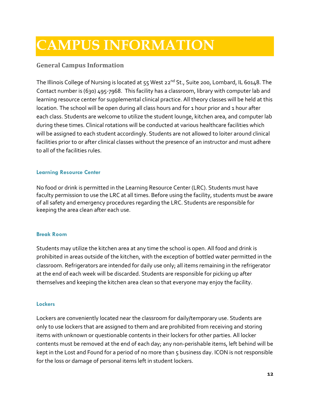### <span id="page-16-0"></span>**CAMPUS INFORMATION**

#### <span id="page-16-1"></span>**General Campus Information**

The Illinois College of Nursing is located at 55 West 22<sup>nd</sup> St., Suite 200, Lombard, IL 60148. The Contact number is (630) 495-7968. This facility has a classroom, library with computer lab and learning resource center for supplemental clinical practice. All theory classes will be held at this location. The school will be open during all class hours and for 1 hour prior and 1 hour after each class. Students are welcome to utilize the student lounge, kitchen area, and computer lab during these times. Clinical rotations will be conducted at various healthcare facilities which will be assigned to each student accordingly. Students are not allowed to loiter around clinical facilities prior to or after clinical classes without the presence of an instructor and must adhere to all of the facilities rules.

#### <span id="page-16-2"></span>**Learning Resource Center**

No food or drink is permitted in the Learning Resource Center (LRC). Students must have faculty permission to use the LRC at all times. Before using the facility, students must be aware of all safety and emergency procedures regarding the LRC. Students are responsible for keeping the area clean after each use.

#### <span id="page-16-3"></span>**Break Room**

Students may utilize the kitchen area at any time the school is open. All food and drink is prohibited in areas outside of the kitchen, with the exception of bottled water permitted in the classroom. Refrigerators are intended for daily use only; all items remaining in the refrigerator at the end of each week will be discarded. Students are responsible for picking up after themselves and keeping the kitchen area clean so that everyone may enjoy the facility.

#### <span id="page-16-4"></span>**Lockers**

Lockers are conveniently located near the classroom for daily/temporary use. Students are only to use lockers that are assigned to them and are prohibited from receiving and storing items with unknown or questionable contents in their lockers for other parties. All locker contents must be removed at the end of each day; any non-perishable items, left behind will be kept in the Lost and Found for a period of no more than 5 business day. ICON is not responsible for the loss or damage of personal items left in student lockers.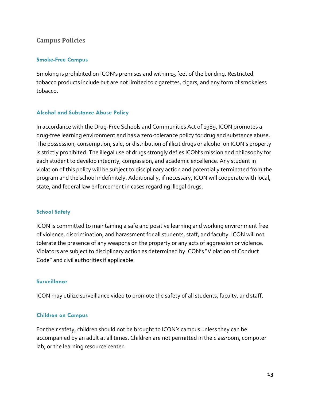#### <span id="page-17-0"></span>**Campus Policies**

#### <span id="page-17-1"></span>**Smoke-Free Campus**

Smoking is prohibited on ICON's premises and within 15 feet of the building. Restricted tobacco products include but are not limited to cigarettes, cigars, and any form of smokeless tobacco.

#### <span id="page-17-2"></span>**Alcohol and Substance Abuse Policy**

In accordance with the Drug-Free Schools and Communities Act of 1989, ICON promotes a drug-free learning environment and has a zero-tolerance policy for drug and substance abuse. The possession, consumption, sale, or distribution of illicit drugs or alcohol on ICON's property is strictly prohibited. The illegal use of drugs strongly defies ICON's mission and philosophy for each student to develop integrity, compassion, and academic excellence. Any student in violation of this policy will be subject to disciplinary action and potentially terminated from the program and the school indefinitely. Additionally, if necessary, ICON will cooperate with local, state, and federal law enforcement in cases regarding illegal drugs.

#### <span id="page-17-3"></span>**School Safety**

ICON is committed to maintaining a safe and positive learning and working environment free of violence, discrimination, and harassment for all students, staff, and faculty. ICON will not tolerate the presence of any weapons on the property or any acts of aggression or violence. Violators are subject to disciplinary action as determined by ICON's "Violation of Conduct Code" and civil authorities if applicable.

#### <span id="page-17-4"></span>**Surveillance**

ICON may utilize surveillance video to promote the safety of all students, faculty, and staff.

#### <span id="page-17-5"></span>**Children on Campus**

For their safety, children should not be brought to ICON's campus unless they can be accompanied by an adult at all times. Children are not permitted in the classroom, computer lab, or the learning resource center.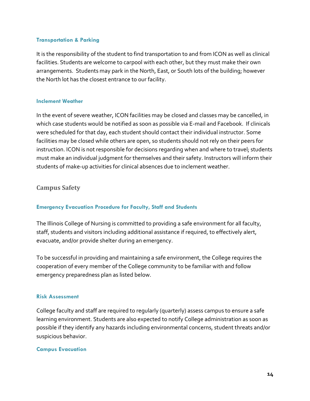#### <span id="page-18-0"></span>**Transportation & Parking**

It is the responsibility of the student to find transportation to and from ICON as well as clinical facilities. Students are welcome to carpool with each other, but they must make their own arrangements. Students may park in the North, East, or South lots of the building; however the North lot has the closest entrance to our facility.

#### <span id="page-18-1"></span>**Inclement Weather**

In the event of severe weather, ICON facilities may be closed and classes may be cancelled, in which case students would be notified as soon as possible via E-mail and Facebook. If clinicals were scheduled for that day, each student should contact their individual instructor. Some facilities may be closed while others are open, so students should not rely on their peers for instruction. ICON is not responsible for decisions regarding when and where to travel; students must make an individual judgment for themselves and their safety. Instructors will inform their students of make-up activities for clinical absences due to inclement weather.

#### <span id="page-18-2"></span>**Campus Safety**

#### <span id="page-18-3"></span>**Emergency Evacuation Procedure for Faculty, Staff and Students**

The Illinois College of Nursing is committed to providing a safe environment for all faculty, staff, students and visitors including additional assistance if required, to effectively alert, evacuate, and/or provide shelter during an emergency.

To be successful in providing and maintaining a safe environment, the College requires the cooperation of every member of the College community to be familiar with and follow emergency preparedness plan as listed below.

#### <span id="page-18-4"></span>**Risk Assessment**

College faculty and staff are required to regularly (quarterly) assess campus to ensure a safe learning environment. Students are also expected to notify College administration as soon as possible if they identify any hazards including environmental concerns, student threats and/or suspicious behavior.

#### <span id="page-18-5"></span>**Campus Evacuation**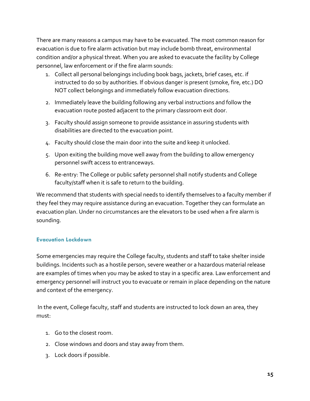There are many reasons a campus may have to be evacuated. The most common reason for evacuation is due to fire alarm activation but may include bomb threat, environmental condition and/or a physical threat. When you are asked to evacuate the facility by College personnel, law enforcement or if the fire alarm sounds:

- 1. Collect all personal belongings including book bags, jackets, brief cases, etc. if instructed to do so by authorities. If obvious danger is present (smoke, fire, etc.) DO NOT collect belongings and immediately follow evacuation directions.
- 2. Immediately leave the building following any verbal instructions and follow the evacuation route posted adjacent to the primary classroom exit door.
- 3. Faculty should assign someone to provide assistance in assuring students with disabilities are directed to the evacuation point.
- 4. Faculty should close the main door into the suite and keep it unlocked.
- 5. Upon exiting the building move well away from the building to allow emergency personnel swift access to entranceways.
- 6. Re-entry: The College or public safety personnel shall notify students and College faculty/staff when it is safe to return to the building.

We recommend that students with special needs to identify themselves to a faculty member if they feel they may require assistance during an evacuation. Together they can formulate an evacuation plan. Under no circumstances are the elevators to be used when a fire alarm is sounding.

#### <span id="page-19-0"></span>**Evacuation Lockdown**

Some emergencies may require the College faculty, students and staff to take shelter inside buildings. Incidents such as a hostile person, severe weather or a hazardous material release are examples of times when you may be asked to stay in a specific area. Law enforcement and emergency personnel will instruct you to evacuate or remain in place depending on the nature and context of the emergency.

In the event, College faculty, staff and students are instructed to lock down an area, they must:

- 1. Go to the closest room.
- 2. Close windows and doors and stay away from them.
- 3. Lock doors if possible.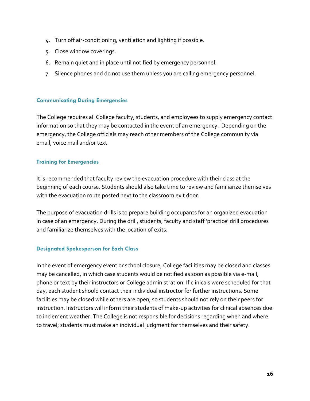- 4. Turn off air-conditioning, ventilation and lighting if possible.
- 5. Close window coverings.
- 6. Remain quiet and in place until notified by emergency personnel.
- 7. Silence phones and do not use them unless you are calling emergency personnel.

#### <span id="page-20-0"></span>**Communicating During Emergencies**

The College requires all College faculty, students, and employees to supply emergency contact information so that they may be contacted in the event of an emergency. Depending on the emergency, the College officials may reach other members of the College community via email, voice mail and/or text.

#### <span id="page-20-1"></span>**Training for Emergencies**

It is recommended that faculty review the evacuation procedure with their class at the beginning of each course. Students should also take time to review and familiarize themselves with the evacuation route posted next to the classroom exit door.

The purpose of evacuation drills is to prepare building occupants for an organized evacuation in case of an emergency. During the drill, students, faculty and staff 'practice' drill procedures and familiarize themselves with the location of exits.

#### <span id="page-20-2"></span>**Designated Spokesperson for Each Class**

In the event of emergency event or school closure, College facilities may be closed and classes may be cancelled, in which case students would be notified as soon as possible via e-mail, phone or text by their instructors or College administration. If clinicals were scheduled for that day, each student should contact their individual instructor for further instructions. Some facilities may be closed while others are open, so students should not rely on their peers for instruction. Instructors will inform their students of make-up activities for clinical absences due to inclement weather. The College is not responsible for decisions regarding when and where to travel; students must make an individual judgment for themselves and their safety.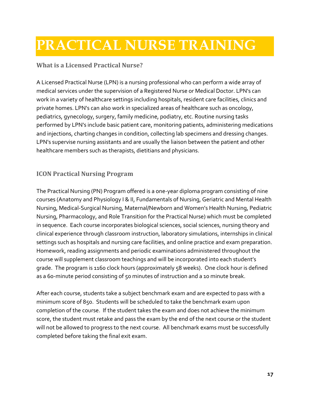### <span id="page-21-0"></span>**PRACTICAL NURSE TRAINING**

#### <span id="page-21-1"></span>**What is a Licensed Practical Nurse?**

A Licensed Practical Nurse (LPN) is a nursing professional who can perform a wide array of medical services under the supervision of a Registered Nurse or Medical Doctor. LPN's can work in a variety of healthcare settings including hospitals, resident care facilities, clinics and private homes. LPN's can also work in specialized areas of healthcare such as oncology, pediatrics, gynecology, surgery, family medicine, podiatry, etc. Routine nursing tasks performed by LPN's include basic patient care, monitoring patients, administering medications and injections, charting changes in condition, collecting lab specimens and dressing changes. LPN's supervise nursing assistants and are usually the liaison between the patient and other healthcare members such as therapists, dietitians and physicians.

#### <span id="page-21-2"></span>**ICON Practical Nursing Program**

The Practical Nursing (PN) Program offered is a one-year diploma program consisting of nine courses (Anatomy and Physiology I & II, Fundamentals of Nursing, Geriatric and Mental Health Nursing, Medical-Surgical Nursing, Maternal/Newborn and Women's Health Nursing, Pediatric Nursing, Pharmacology, and Role Transition for the Practical Nurse) which must be completed in sequence. Each course incorporates biological sciences, social sciences, nursing theory and clinical experience through classroom instruction, laboratory simulations, internships in clinical settings such as hospitals and nursing care facilities, and online practice and exam preparation. Homework, reading assignments and periodic examinations administered throughout the course will supplement classroom teachings and will be incorporated into each student's grade. The program is 1160 clock hours (approximately 58 weeks). One clock hour is defined as a 60-minute period consisting of 50 minutes of instruction and a 10 minute break.

After each course, students take a subject benchmark exam and are expected to pass with a minimum score of 850. Students will be scheduled to take the benchmark exam upon completion of the course. If the student takes the exam and does not achieve the minimum score, the student must retake and pass the exam by the end of the next course or the student will not be allowed to progress to the next course. All benchmark exams must be successfully completed before taking the final exit exam.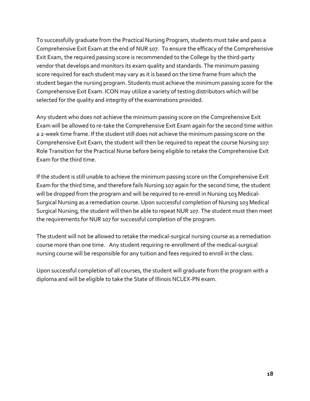To successfully graduate from the Practical Nursing Program, students must take and pass a Comprehensive Exit Exam at the end of NUR 107. To ensure the efficacy of the Comprehensive Exit Exam, the required passing score is recommended to the College by the third-party vendor that develops and monitors its exam quality and standards. The minimum passing score required for each student may vary as it is based on the time frame from which the student began the nursing program. Students must achieve the minimum passing score for the Comprehensive Exit Exam. ICON may utilize a variety of testing distributors which will be selected for the quality and integrity of the examinations provided.

Any student who does not achieve the minimum passing score on the Comprehensive Exit Exam will be allowed to re-take the Comprehensive Exit Exam again for the second time within a 2-week time frame. If the student still does not achieve the minimum passing score on the Comprehensive Exit Exam, the student will then be required to repeat the course Nursing 107: Role Transition for the Practical Nurse before being eligible to retake the Comprehensive Exit Exam for the third time.

If the student is still unable to achieve the minimum passing score on the Comprehensive Exit Exam for the third time, and therefore fails Nursing 107 again for the second time, the student will be dropped from the program and will be required to re-enroll in Nursing 103 Medical-Surgical Nursing as a remediation course. Upon successful completion of Nursing 103 Medical Surgical Nursing, the student will then be able to repeat NUR 107. The student must then meet the requirements for NUR 107 for successful completion of the program.

The student will not be allowed to retake the medical-surgical nursing course as a remediation course more than one time. Any student requiring re-enrollment of the medical-surgical nursing course will be responsible for any tuition and fees required to enroll in the class.

Upon successful completion of all courses, the student will graduate from the program with a diploma and will be eligible to take the State of Illinois NCLEX-PN exam.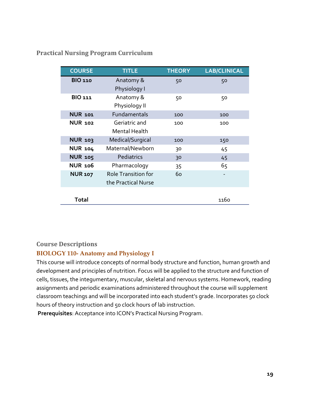#### <span id="page-23-0"></span>**Practical Nursing Program Curriculum**

| <b>COURSE</b>  | <b>TITLE</b>               | <b>THEORY</b> | <b>LAB/CLINICAL</b> |
|----------------|----------------------------|---------------|---------------------|
| <b>BIO 110</b> | Anatomy &                  | 50            | 50                  |
|                | Physiology I               |               |                     |
| <b>BIO 111</b> | Anatomy &                  | 50            | 50                  |
|                | Physiology II              |               |                     |
| <b>NUR 101</b> | Fundamentals               | 100           | 100                 |
| <b>NUR 102</b> | Geriatric and              | 100           | 100                 |
|                | Mental Health              |               |                     |
| <b>NUR 103</b> | Medical/Surgical           | 100           | 150                 |
| <b>NUR 104</b> | Maternal/Newborn           | 30            | 45                  |
| <b>NUR 105</b> | Pediatrics                 | 30            | 45                  |
| <b>NUR 106</b> | Pharmacology               | 35            | 65                  |
| <b>NUR 107</b> | <b>Role Transition for</b> | 60            |                     |
|                | the Practical Nurse        |               |                     |
|                |                            |               |                     |
| <b>Total</b>   |                            |               | 1160                |

#### <span id="page-23-1"></span>**Course Descriptions**

#### **BIOLOGY 110- Anatomy and Physiology I**

This course will introduce concepts of normal body structure and function, human growth and development and principles of nutrition. Focus will be applied to the structure and function of cells, tissues, the integumentary, muscular, skeletal and nervous systems. Homework, reading assignments and periodic examinations administered throughout the course will supplement classroom teachings and will be incorporated into each student's grade. Incorporates 50 clock hours of theory instruction and 50 clock hours of lab instruction.

**Prerequisites**: Acceptance into ICON's Practical Nursing Program.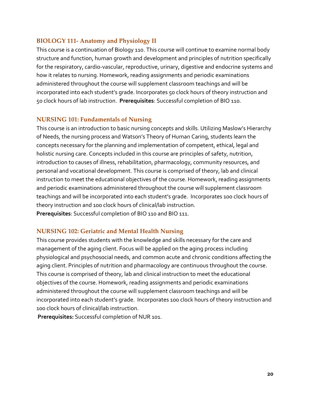#### **BIOLOGY 111- Anatomy and Physiology II**

This course is a continuation of Biology 110. This course will continue to examine normal body structure and function, human growth and development and principles of nutrition specifically for the respiratory, cardio-vascular, reproductive, urinary, digestive and endocrine systems and how it relates to nursing. Homework, reading assignments and periodic examinations administered throughout the course will supplement classroom teachings and will be incorporated into each student's grade. Incorporates 50 clock hours of theory instruction and 50 clock hours of lab instruction. **Prerequisites**: Successful completion of BIO 110.

#### **NURSING 101: Fundamentals of Nursing**

This course is an introduction to basic nursing concepts and skills. Utilizing Maslow's Hierarchy of Needs, the nursing process and Watson's Theory of Human Caring, students learn the concepts necessary for the planning and implementation of competent, ethical, legal and holistic nursing care. Concepts included in this course are principles of safety, nutrition, introduction to causes of illness, rehabilitation, pharmacology, community resources, and personal and vocational development. This course is comprised of theory, lab and clinical instruction to meet the educational objectives of the course. Homework, reading assignments and periodic examinations administered throughout the course will supplement classroom teachings and will be incorporated into each student's grade. Incorporates 100 clock hours of theory instruction and 100 clock hours of clinical/lab instruction.

**Prerequisites**: Successful completion of BIO 110 and BIO 111.

#### **NURSING 102: Geriatric and Mental Health Nursing**

This course provides students with the knowledge and skills necessary for the care and management of the aging client. Focus will be applied on the aging process including physiological and psychosocial needs, and common acute and chronic conditions affecting the aging client. Principles of nutrition and pharmacology are continuous throughout the course. This course is comprised of theory, lab and clinical instruction to meet the educational objectives of the course. Homework, reading assignments and periodic examinations administered throughout the course will supplement classroom teachings and will be incorporated into each student's grade. Incorporates 100 clock hours of theory instruction and 100 clock hours of clinical/lab instruction.

**Prerequisites:** Successful completion of NUR 101.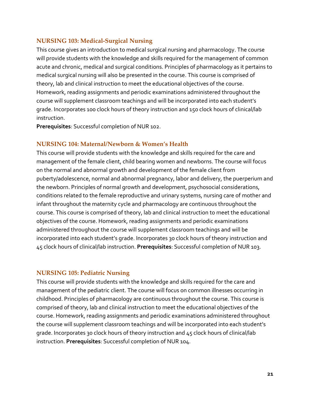#### **NURSING 103: Medical-Surgical Nursing**

This course gives an introduction to medical surgical nursing and pharmacology. The course will provide students with the knowledge and skills required for the management of common acute and chronic, medical and surgical conditions. Principles of pharmacology as it pertains to medical surgical nursing will also be presented in the course. This course is comprised of theory, lab and clinical instruction to meet the educational objectives of the course. Homework, reading assignments and periodic examinations administered throughout the course will supplement classroom teachings and will be incorporated into each student's grade. Incorporates 100 clock hours of theory instruction and 150 clock hours of clinical/lab instruction.

**Prerequisites**: Successful completion of NUR 102.

#### **NURSING 104: Maternal/Newborn & Women's Health**

This course will provide students with the knowledge and skills required for the care and management of the female client, child bearing women and newborns. The course will focus on the normal and abnormal growth and development of the female client from puberty/adolescence, normal and abnormal pregnancy, labor and delivery, the puerperium and the newborn. Principles of normal growth and development, psychosocial considerations, conditions related to the female reproductive and urinary systems, nursing care of mother and infant throughout the maternity cycle and pharmacology are continuous throughout the course. This course is comprised of theory, lab and clinical instruction to meet the educational objectives of the course. Homework, reading assignments and periodic examinations administered throughout the course will supplement classroom teachings and will be incorporated into each student's grade. Incorporates 30 clock hours of theory instruction and 45 clock hours of clinical/lab instruction. **Prerequisites**: Successful completion of NUR 103.

#### **NURSING 105: Pediatric Nursing**

This course will provide students with the knowledge and skills required for the care and management of the pediatric client. The course will focus on common illnesses occurring in childhood. Principles of pharmacology are continuous throughout the course. This course is comprised of theory, lab and clinical instruction to meet the educational objectives of the course. Homework, reading assignments and periodic examinations administered throughout the course will supplement classroom teachings and will be incorporated into each student's grade. Incorporates 30 clock hours of theory instruction and 45 clock hours of clinical/lab instruction. **Prerequisites**: Successful completion of NUR 104.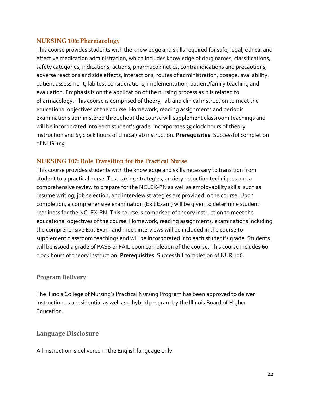#### **NURSING 106: Pharmacology**

This course provides students with the knowledge and skills required for safe, legal, ethical and effective medication administration, which includes knowledge of drug names, classifications, safety categories, indications, actions, pharmacokinetics, contraindications and precautions, adverse reactions and side effects, interactions, routes of administration, dosage, availability, patient assessment, lab test considerations, implementation, patient/family teaching and evaluation. Emphasis is on the application of the nursing process as it is related to pharmacology. This course is comprised of theory, lab and clinical instruction to meet the educational objectives of the course. Homework, reading assignments and periodic examinations administered throughout the course will supplement classroom teachings and will be incorporated into each student's grade. Incorporates 35 clock hours of theory instruction and 65 clock hours of clinical/lab instruction. **Prerequisites**: Successful completion of NUR 105.

#### **NURSING 107: Role Transition for the Practical Nurse**

This course provides students with the knowledge and skills necessary to transition from student to a practical nurse. Test-taking strategies, anxiety reduction techniques and a comprehensive review to prepare for the NCLEX-PN as well as employability skills, such as resume writing, job selection, and interview strategies are provided in the course. Upon completion, a comprehensive examination (Exit Exam) will be given to determine student readiness for the NCLEX-PN. This course is comprised of theory instruction to meet the educational objectives of the course. Homework, reading assignments, examinations including the comprehensive Exit Exam and mock interviews will be included in the course to supplement classroom teachings and will be incorporated into each student's grade. Students will be issued a grade of PASS or FAIL upon completion of the course. This course includes 60 clock hours of theory instruction. **Prerequisites**: Successful completion of NUR 106.

#### <span id="page-26-0"></span>**Program Delivery**

The Illinois College of Nursing's Practical Nursing Program has been approved to deliver instruction as a residential as well as a hybrid program by the Illinois Board of Higher Education.

#### <span id="page-26-1"></span>**Language Disclosure**

All instruction is delivered in the English language only.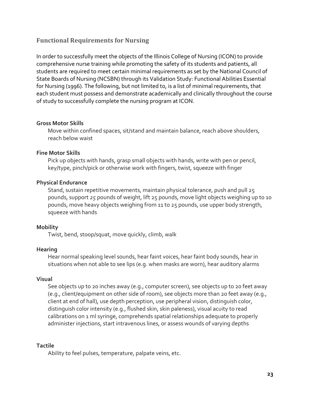#### <span id="page-27-0"></span>**Functional Requirements for Nursing**

In order to successfully meet the objects of the Illinois College of Nursing (ICON) to provide comprehensive nurse training while promoting the safety of its students and patients, all students are required to meet certain minimal requirements as set by the National Council of State Boards of Nursing (NCSBN) through its Validation Study: Functional Abilities Essential for Nursing (1996). The following, but not limited to, is a list of minimal requirements, that each student must possess and demonstrate academically and clinically throughout the course of study to successfully complete the nursing program at ICON.

#### **Gross Motor Skills**

Move within confined spaces, sit/stand and maintain balance, reach above shoulders, reach below waist

#### **Fine Motor Skills**

Pick up objects with hands, grasp small objects with hands, write with pen or pencil, key/type, pinch/pick or otherwise work with fingers, twist, squeeze with finger

#### **Physical Endurance**

Stand, sustain repetitive movements, maintain physical tolerance, push and pull 25 pounds, support *25* pounds of weight, lift 25 pounds, move light objects weighing up to 10 pounds, move heavy objects weighing from 11 to 25 pounds, use upper body strength, squeeze with hands

#### **Mobility**

Twist, bend, stoop/squat, move quickly, climb, walk

#### **Hearing**

Hear normal speaking level sounds, hear faint voices, hear faint body sounds, hear in situations when not able to see lips (e.g. when masks are worn), hear auditory alarms

#### **Visual**

See objects up to 20 inches away (e.g., computer screen), see objects up to 20 feet away (e.g., client/equipment on other side of room), see objects more than 20 feet away (e.g., client at end of hall), use depth perception, use peripheral vision, distinguish color, distinguish color intensity (e.g., flushed skin, skin paleness), visual acuity to read calibrations on 1 ml syringe, comprehends spatial relationships adequate to properly administer injections, start intravenous lines, or assess wounds of varying depths

#### **Tactile**

Ability to feel pulses, temperature, palpate veins, etc.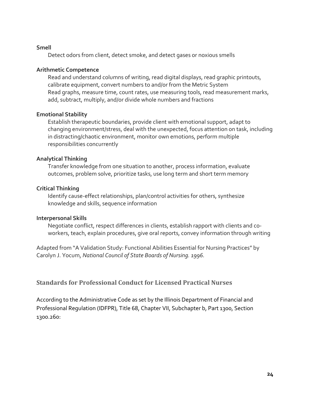#### **Smell**

Detect odors from client, detect smoke, and detect gases or noxious smells

#### **Arithmetic Competence**

Read and understand columns of writing, read digital displays, read graphic printouts, calibrate equipment, convert numbers to and/or from the Metric System Read graphs, measure time, count rates, use measuring tools, read measurement marks, add, subtract, multiply, and/or divide whole numbers and fractions

#### **Emotional Stability**

Establish therapeutic boundaries, provide client with emotional support, adapt to changing environment/stress, deal with the unexpected, focus attention on task, including in distracting/chaotic environment, monitor own emotions, perform multiple responsibilities concurrently

#### **Analytical Thinking**

Transfer knowledge from one situation to another, process information, evaluate outcomes, problem solve, prioritize tasks, use long term and short term memory

#### **Critical Thinking**

Identify cause-effect relationships, plan/control activities for others, synthesize knowledge and skills, sequence information

#### **Interpersonal Skills**

Negotiate conflict, respect differences in clients, establish rapport with clients and coworkers, teach, explain procedures, give oral reports, convey information through writing

Adapted from "A Validation Study: Functional Abilities Essential for Nursing Practices" by Carolyn J. Yocum, *National Council of State Boards of Nursing. 1996.*

<span id="page-28-0"></span>**Standards for Professional Conduct for Licensed Practical Nurses**

According to the Administrative Code as set by the Illinois Department of Financial and Professional Regulation (IDFPR), Title 68, Chapter VII, Subchapter b, Part 1300, Section 1300.260: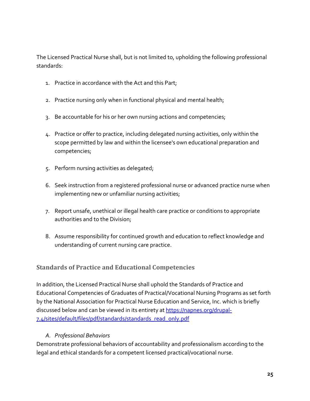The Licensed Practical Nurse shall, but is not limited to, upholding the following professional standards:

- 1. Practice in accordance with the Act and this Part;
- 2. Practice nursing only when in functional physical and mental health;
- 3. Be accountable for his or her own nursing actions and competencies;
- 4. Practice or offer to practice, including delegated nursing activities, only within the scope permitted by law and within the licensee's own educational preparation and competencies;
- 5. Perform nursing activities as delegated;
- 6. Seek instruction from a registered professional nurse or advanced practice nurse when implementing new or unfamiliar nursing activities;
- 7. Report unsafe, unethical or illegal health care practice or conditions to appropriate authorities and to the Division;
- 8. Assume responsibility for continued growth and education to reflect knowledge and understanding of current nursing care practice.

#### <span id="page-29-0"></span>**Standards of Practice and Educational Competencies**

In addition, the Licensed Practical Nurse shall uphold the Standards of Practice and Educational Competencies of Graduates of Practical/Vocational Nursing Programs as set forth by the National Association for Practical Nurse Education and Service, Inc. which is briefly discussed below and can be viewed in its entirety a[t https://napnes.org/drupal-](https://napnes.org/drupal-7.4/sites/default/files/pdf/standards/standards_read_only.pdf)[7.4/sites/default/files/pdf/standards/standards\\_read\\_only.pdf](https://napnes.org/drupal-7.4/sites/default/files/pdf/standards/standards_read_only.pdf)

#### *A. Professional Behaviors*

Demonstrate professional behaviors of accountability and professionalism according to the legal and ethical standards for a competent licensed practical/vocational nurse.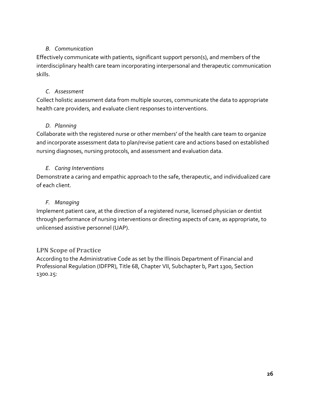#### *B. Communication*

Effectively communicate with patients, significant support person(s), and members of the interdisciplinary health care team incorporating interpersonal and therapeutic communication skills.

#### *C. Assessment*

Collect holistic assessment data from multiple sources, communicate the data to appropriate health care providers, and evaluate client responses to interventions.

#### *D. Planning*

Collaborate with the registered nurse or other members' of the health care team to organize and incorporate assessment data to plan/revise patient care and actions based on established nursing diagnoses, nursing protocols, and assessment and evaluation data.

#### *E. Caring Interventions*

Demonstrate a caring and empathic approach to the safe, therapeutic, and individualized care of each client.

#### *F. Managing*

Implement patient care, at the direction of a registered nurse, licensed physician or dentist through performance of nursing interventions or directing aspects of care, as appropriate, to unlicensed assistive personnel (UAP).

#### <span id="page-30-0"></span>**LPN Scope of Practice**

According to the Administrative Code as set by the Illinois Department of Financial and Professional Regulation (IDFPR), Title 68, Chapter VII, Subchapter b, Part 1300, Section 1300.25: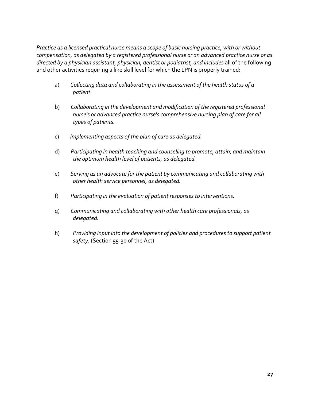*Practice as a licensed practical nurse means a scope of basic nursing practice, with or without compensation, as delegated by a registered professional nurse or an advanced practice nurse or as directed by a physician assistant, physician, dentist or podiatrist, and includes* all of the following and other activities requiring a like skill level for which the LPN is properly trained:

- a) *Collecting data and collaborating in the assessment of the health status of a patient.*
- b) *Collaborating in the development and modification of the registered professional nurse's or advanced practice nurse's comprehensive nursing plan of care for all types of patients.*
- c) *Implementing aspects of the plan of care as delegated.*
- d) *Participating in health teaching and counseling to promote, attain, and maintain the optimum health level of patients, as delegated.*
- e) *Serving as an advocate for the patient by communicating and collaborating with other health service personnel, as delegated.*
- f) *Participating in the evaluation of patient responses to interventions.*
- g) *Communicating and collaborating with other health care professionals, as delegated.*
- h) *Providing input into the development of policies and procedures to support patient safety.* (Section 55-30 of the Act)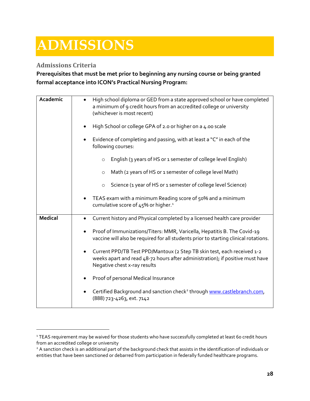## <span id="page-32-0"></span>**ADMISSIONS**

#### <span id="page-32-1"></span>**Admissions Criteria**

**Prerequisites that must be met prior to beginning any nursing course or being granted formal acceptance into ICON's Practical Nursing Program:** 

| Academic       | High school diploma or GED from a state approved school or have completed<br>$\bullet$<br>a minimum of 9 credit hours from an accredited college or university<br>(whichever is most recent)<br>High School or college GPA of 2.0 or higher on a 4.00 scale<br>Evidence of completing and passing, with at least a "C" in each of the<br>following courses:<br>English (3 years of HS or 1 semester of college level English)<br>$\Omega$                                                                                                                                                           |
|----------------|-----------------------------------------------------------------------------------------------------------------------------------------------------------------------------------------------------------------------------------------------------------------------------------------------------------------------------------------------------------------------------------------------------------------------------------------------------------------------------------------------------------------------------------------------------------------------------------------------------|
|                | Math (2 years of HS or 1 semester of college level Math)<br>$\circ$<br>Science (1 year of HS or 1 semester of college level Science)<br>$\circ$<br>TEAS exam with a minimum Reading score of 50% and a minimum<br>cumulative score of 45% or higher. <sup>1</sup>                                                                                                                                                                                                                                                                                                                                   |
| <b>Medical</b> | Current history and Physical completed by a licensed health care provider<br>Proof of Immunizations/Titers: MMR, Varicella, Hepatitis B. The Covid-19<br>vaccine will also be required for all students prior to starting clinical rotations.<br>Current PPD/TB Test PPD/Mantoux (2 Step TB skin test, each received 1-2<br>weeks apart and read 48-72 hours after administration); if positive must have<br>Negative chest x-ray results<br>Proof of personal Medical Insurance<br>Certified Background and sanction check <sup>2</sup> through www.castlebranch.com,<br>(888) 723-4263, ext. 7142 |

<span id="page-32-2"></span><sup>&</sup>lt;sup>1</sup> TEAS requirement may be waived for those students who have successfully completed at least 60 credit hours from an accredited college or university

<span id="page-32-3"></span><sup>&</sup>lt;sup>2</sup> A sanction check is an additional part of the background check that assists in the identification of individuals or entities that have been sanctioned or debarred from participation in federally funded healthcare programs.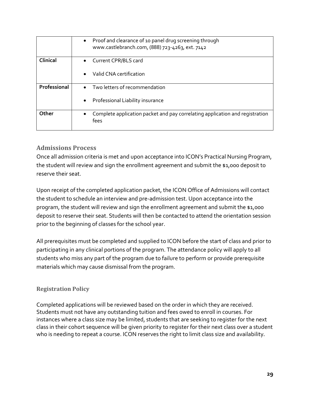|              | Proof and clearance of 10 panel drug screening through<br>$\bullet$<br>www.castlebranch.com, (888) 723-4263, ext. 7142 |
|--------------|------------------------------------------------------------------------------------------------------------------------|
| Clinical     | Current CPR/BLS card<br>$\bullet$<br>Valid CNA certification                                                           |
| Professional | Two letters of recommendation<br>Professional Liability insurance<br>$\bullet$                                         |
| Other        | Complete application packet and pay correlating application and registration<br>fees                                   |

#### <span id="page-33-0"></span>**Admissions Process**

Once all admission criteria is met and upon acceptance into ICON's Practical Nursing Program, the student will review and sign the enrollment agreement and submit the \$1,000 deposit to reserve their seat.

Upon receipt of the completed application packet, the ICON Office of Admissions will contact the student to schedule an interview and pre-admission test. Upon acceptance into the program, the student will review and sign the enrollment agreement and submit the \$1,000 deposit to reserve their seat. Students will then be contacted to attend the orientation session prior to the beginning of classes for the school year.

All prerequisites must be completed and supplied to ICON before the start of class and prior to participating in any clinical portions of the program. The attendance policy will apply to all students who miss any part of the program due to failure to perform or provide prerequisite materials which may cause dismissal from the program.

#### <span id="page-33-1"></span>**Registration Policy**

Completed applications will be reviewed based on the order in which they are received. Students must not have any outstanding tuition and fees owed to enroll in courses. For instances where a class size may be limited, students that are seeking to register for the next class in their cohort sequence will be given priority to register for their next class over a student who is needing to repeat a course. ICON reserves the right to limit class size and availability.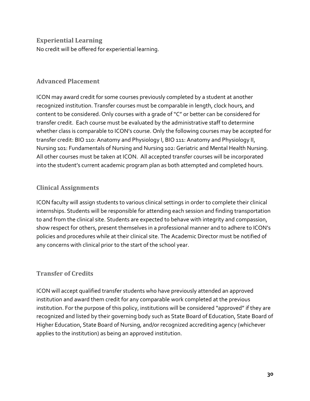<span id="page-34-0"></span>**Experiential Learning** No credit will be offered for experiential learning.

#### <span id="page-34-1"></span>**Advanced Placement**

ICON may award credit for some courses previously completed by a student at another recognized institution. Transfer courses must be comparable in length, clock hours, and content to be considered. Only courses with a grade of "C" or better can be considered for transfer credit. Each course must be evaluated by the administrative staff to determine whether class is comparable to ICON's course. Only the following courses may be accepted for transfer credit: BIO 110: Anatomy and Physiology I, BIO 111: Anatomy and Physiology II, Nursing 101: Fundamentals of Nursing and Nursing 102: Geriatric and Mental Health Nursing. All other courses must be taken at ICON. All accepted transfer courses will be incorporated into the student's current academic program plan as both attempted and completed hours.

#### <span id="page-34-2"></span>**Clinical Assignments**

ICON faculty will assign students to various clinical settings in order to complete their clinical internships. Students will be responsible for attending each session and finding transportation to and from the clinical site. Students are expected to behave with integrity and compassion, show respect for others, present themselves in a professional manner and to adhere to ICON's policies and procedures while at their clinical site. The Academic Director must be notified of any concerns with clinical prior to the start of the school year.

#### <span id="page-34-3"></span>**Transfer of Credits**

ICON will accept qualified transfer students who have previously attended an approved institution and award them credit for any comparable work completed at the previous institution. For the purpose of this policy, institutions will be considered "approved" if they are recognized and listed by their governing body such as State Board of Education, State Board of Higher Education, State Board of Nursing, and/or recognized accrediting agency (whichever applies to the institution) as being an approved institution.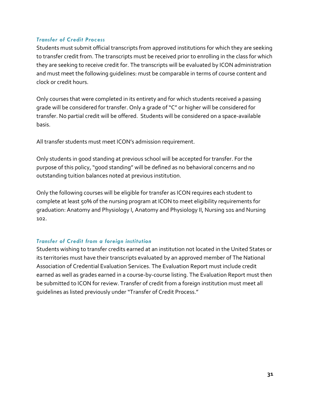#### *Transfer of Credit Process*

Students must submit official transcripts from approved institutions for which they are seeking to transfer credit from. The transcripts must be received prior to enrolling in the class for which they are seeking to receive credit for. The transcripts will be evaluated by ICON administration and must meet the following guidelines: must be comparable in terms of course content and clock or credit hours.

Only courses that were completed in its entirety and for which students received a passing grade will be considered for transfer. Only a grade of "C" or higher will be considered for transfer. No partial credit will be offered. Students will be considered on a space-available basis.

All transfer students must meet ICON's admission requirement.

Only students in good standing at previous school will be accepted for transfer. For the purpose of this policy, "good standing" will be defined as no behavioral concerns and no outstanding tuition balances noted at previous institution.

Only the following courses will be eligible for transfer as ICON requires each student to complete at least 50% of the nursing program at ICON to meet eligibility requirements for graduation: Anatomy and Physiology I, Anatomy and Physiology II, Nursing 101 and Nursing 102.

#### *Transfer of Credit from a foreign institution*

Students wishing to transfer credits earned at an institution not located in the United States or its territories must have their transcripts evaluated by an approved member of The National Association of Credential Evaluation Services. The Evaluation Report must include credit earned as well as grades earned in a course-by-course listing. The Evaluation Report must then be submitted to ICON for review. Transfer of credit from a foreign institution must meet all guidelines as listed previously under "Transfer of Credit Process."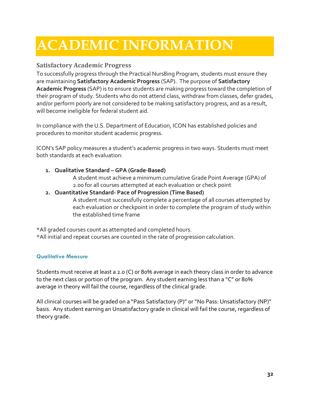## <span id="page-36-0"></span>**ACADEMIC INFORMATION**

#### <span id="page-36-1"></span>**Satisfactory Academic Progress**

To successfully progress through the Practical Nurs8ing Program, students must ensure they are maintaining **Satisfactory Academic Progress** (SAP). The purpose of **Satisfactory Academic Progress** (SAP) is to ensure students are making progress toward the completion of their program of study. Students who do not attend class, withdraw from classes, defer grades, and/or perform poorly are not considered to be making satisfactory progress, and as a result, will become ineligible for federal student aid.

In compliance with the U.S. Department of Education, ICON has established policies and procedures to monitor student academic progress.

ICON's SAP policy measures a student's academic progress in two ways. Students must meet both standards at each evaluation:

**1. Qualitative Standard – GPA (Grade-Based)**

A student must achieve a minimum cumulative Grade Point Average (GPA) of 2.00 for all courses attempted at each evaluation or check point

**2. Quantitative Standard- Pace of Progression (Time Based)** A student must successfully complete a percentage of all courses attempted by each evaluation or checkpoint in order to complete the program of study within the established time frame

\*All graded courses count as attempted and completed hours. \*All initial and repeat courses are counted in the rate of progression calculation.

#### <span id="page-36-2"></span>**Qualitative Measure**

Students must receive at least a 2.0 (C) or 80% average in each theory class in order to advance to the next class or portion of the program. Any student earning less than a "C" or 80% average in theory will fail the course, regardless of the clinical grade.

All clinical courses will be graded on a "Pass Satisfactory (P)" or "No Pass: Unsatisfactory (NP)" basis. Any student earning an Unsatisfactory grade in clinical will fail the course, regardless of theory grade.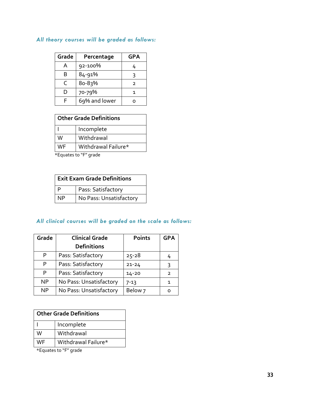#### *All theory courses will be graded as follows:*

| Grade | Percentage    | GPA |
|-------|---------------|-----|
| А     | 92-100%       | 4   |
| B     | 84-91%        |     |
| C     | $80 - 83%$    | っ   |
| D     | 70-79%        |     |
| F     | 69% and lower |     |

| <b>Other Grade Definitions</b> |            |
|--------------------------------|------------|
|                                | Incomplete |
| W                              | Withdrawal |
| Withdrawal Failure*<br>WF      |            |

\*Equates to "F" grade

| <b>Exit Exam Grade Definitions</b> |                         |  |
|------------------------------------|-------------------------|--|
| Þ                                  | Pass: Satisfactory      |  |
| ΝP                                 | No Pass: Unsatisfactory |  |

#### *All clinical courses will be graded on the scale as follows:*

| Grade     | <b>Clinical Grade</b>   | <b>Points</b>      | <b>GPA</b>     |
|-----------|-------------------------|--------------------|----------------|
|           | <b>Definitions</b>      |                    |                |
| P         | Pass: Satisfactory      | $25 - 28$          | 4              |
| P         | Pass: Satisfactory      | $21 - 24$          | 3              |
| P         | Pass: Satisfactory      | $14 - 20$          | $\overline{2}$ |
| <b>NP</b> | No Pass: Unsatisfactory | $7 - 13$           | 1              |
| <b>NP</b> | No Pass: Unsatisfactory | Below <sub>7</sub> |                |

| <b>Other Grade Definitions</b> |                     |  |
|--------------------------------|---------------------|--|
|                                | Incomplete          |  |
| W                              | Withdrawal          |  |
| WF                             | Withdrawal Failure* |  |

\*Equates to "F" grade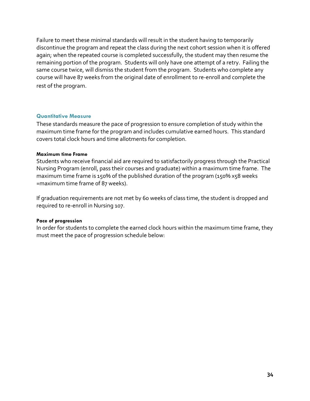Failure to meet these minimal standards will result in the student having to temporarily discontinue the program and repeat the class during the next cohort session when it is offered again; when the repeated course is completed successfully, the student may then resume the remaining portion of the program. Students will only have one attempt of a retry. Failing the same course twice, will dismiss the student from the program. Students who complete any course will have 87 weeks from the original date of enrollment to re-enroll and complete the rest of the program.

#### <span id="page-38-0"></span>**Quantitative Measure**

These standards measure the pace of progression to ensure completion of study within the maximum time frame for the program and includes cumulative earned hours. This standard covers total clock hours and time allotments for completion.

#### **Maximum time Frame**

Students who receive financial aid are required to satisfactorily progress through the Practical Nursing Program (enroll, pass their courses and graduate) within a maximum time frame. The maximum time frame is 150% of the published duration of the program (150% x58 weeks =maximum time frame of 87 weeks).

If graduation requirements are not met by 60 weeks of class time, the student is dropped and required to re-enroll in Nursing 107.

#### **Pace of progression**

In order for students to complete the earned clock hours within the maximum time frame, they must meet the pace of progression schedule below: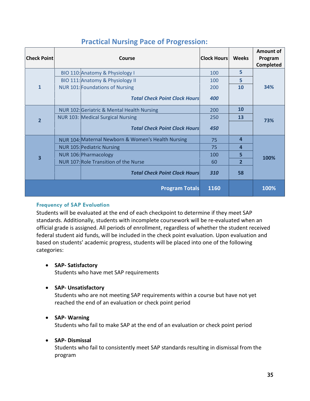| <b>Check Point</b>    | Course |                                                    | <b>Clock Hours</b> | <b>Weeks</b> | Amount of<br>Program<br><b>Completed</b> |
|-----------------------|--------|----------------------------------------------------|--------------------|--------------|------------------------------------------|
|                       |        | BIO 110: Anatomy & Physiology I                    | 100                | 5            |                                          |
|                       |        | BIO 111: Anatomy & Physiology II                   | 100                | 5            |                                          |
| 1                     |        | <b>NUR 101: Foundations of Nursing</b>             | 200                | 10           | 34%                                      |
|                       |        | <b>Total Check Point Clock Hours</b>               | 400                |              |                                          |
|                       |        | NUR 102: Geriatric & Mental Health Nursing         | 200                | 10           |                                          |
| $\overline{2}$        |        | NUR 103: Medical Surgical Nursing                  | 250                | 13           | 73%                                      |
|                       |        | <b>Total Check Point Clock Hours</b>               | 450                |              |                                          |
|                       |        | NUR 104: Maternal Newborn & Women's Health Nursing | 75                 | 4            |                                          |
|                       |        | <b>NUR 105: Pediatric Nursing</b>                  | 75                 | 4            |                                          |
| 3                     |        | NUR 106: Pharmacology                              | 100                | 5            | 100%                                     |
|                       |        | NUR 107: Role Transition of the Nurse              | 60                 | $\mathbf{z}$ |                                          |
|                       |        | <b>Total Check Point Clock Hours</b>               | 310                | 58           |                                          |
| <b>Program Totals</b> |        |                                                    | 1160               |              | 100%                                     |

### **Practical Nursing Pace of Progression:**

#### <span id="page-39-0"></span>**Frequency of SAP Evaluation**

Students will be evaluated at the end of each checkpoint to determine if they meet SAP standards. Additionally, students with incomplete coursework will be re-evaluated when an official grade is assigned. All periods of enrollment, regardless of whether the student received federal student aid funds, will be included in the check point evaluation. Upon evaluation and based on students' academic progress, students will be placed into one of the following categories:

#### • **SAP- Satisfactory**

Students who have met SAP requirements

#### • **SAP- Unsatisfactory**

Students who are not meeting SAP requirements within a course but have not yet reached the end of an evaluation or check point period

#### • **SAP- Warning**

Students who fail to make SAP at the end of an evaluation or check point period

#### • **SAP- Dismissal**

Students who fail to consistently meet SAP standards resulting in dismissal from the program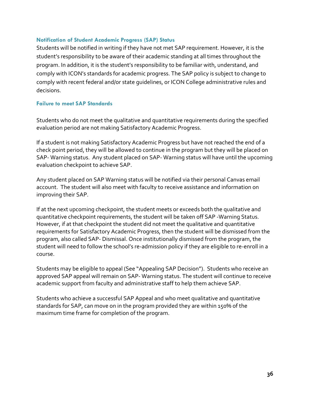#### <span id="page-40-0"></span>**Notification of Student Academic Progress (SAP) Status**

Students will be notified in writing if they have not met SAP requirement. However, it is the student's responsibility to be aware of their academic standing at all times throughout the program. In addition, it is the student's responsibility to be familiar with, understand, and comply with ICON's standards for academic progress. The SAP policy is subject to change to comply with recent federal and/or state guidelines, or ICON College administrative rules and decisions.

#### <span id="page-40-1"></span>**Failure to meet SAP Standards**

Students who do not meet the qualitative and quantitative requirements during the specified evaluation period are not making Satisfactory Academic Progress.

If a student is not making Satisfactory Academic Progress but have not reached the end of a check point period, they will be allowed to continue in the program but they will be placed on SAP- Warning status. Any student placed on SAP- Warning status will have until the upcoming evaluation checkpoint to achieve SAP.

Any student placed on SAP Warning status will be notified via their personal Canvas email account. The student will also meet with faculty to receive assistance and information on improving their SAP.

If at the next upcoming checkpoint, the student meets or exceeds both the qualitative and quantitative checkpoint requirements, the student will be taken off SAP -Warning Status. However, if at that checkpoint the student did not meet the qualitative and quantitative requirements for Satisfactory Academic Progress, then the student will be dismissed from the program, also called SAP- Dismissal. Once institutionally dismissed from the program, the student will need to follow the school's re-admission policy if they are eligible to re-enroll in a course.

Students may be eligible to appeal (See "Appealing SAP Decision"). Students who receive an approved SAP appeal will remain on SAP- Warning status. The student will continue to receive academic support from faculty and administrative staff to help them achieve SAP.

Students who achieve a successful SAP Appeal and who meet qualitative and quantitative standards for SAP, can move on in the program provided they are within 150% of the maximum time frame for completion of the program.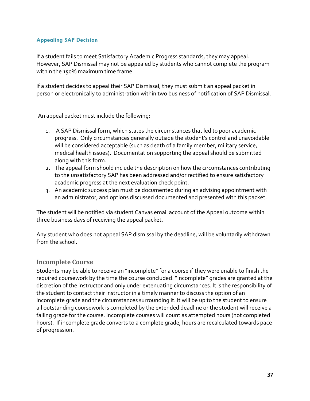#### <span id="page-41-0"></span>**Appealing SAP Decision**

If a student fails to meet Satisfactory Academic Progress standards, they may appeal. However, SAP Dismissal may not be appealed by students who cannot complete the program within the 150% maximum time frame.

If a student decides to appeal their SAP Dismissal, they must submit an appeal packet in person or electronically to administration within two business of notification of SAP Dismissal.

An appeal packet must include the following:

- 1. A SAP Dismissal form, which states the circumstances that led to poor academic progress. Only circumstances generally outside the student's control and unavoidable will be considered acceptable (such as death of a family member, military service, medical health issues). Documentation supporting the appeal should be submitted along with this form.
- 2. The appeal form should include the description on how the circumstances contributing to the unsatisfactory SAP has been addressed and/or rectified to ensure satisfactory academic progress at the next evaluation check point.
- 3. An academic success plan must be documented during an advising appointment with an administrator, and options discussed documented and presented with this packet.

The student will be notified via student Canvas email account of the Appeal outcome within three business days of receiving the appeal packet.

Any student who does not appeal SAP dismissal by the deadline, will be voluntarily withdrawn from the school.

#### <span id="page-41-1"></span>**Incomplete Course**

Students may be able to receive an "incomplete" for a course if they were unable to finish the required coursework by the time the course concluded. "Incomplete" grades are granted at the discretion of the instructor and only under extenuating circumstances. It is the responsibility of the student to contact their instructor in a timely manner to discuss the option of an incomplete grade and the circumstances surrounding it. It will be up to the student to ensure all outstanding coursework is completed by the extended deadline or the student will receive a failing grade for the course. Incomplete courses will count as attempted hours (not completed hours). If incomplete grade converts to a complete grade, hours are recalculated towards pace of progression.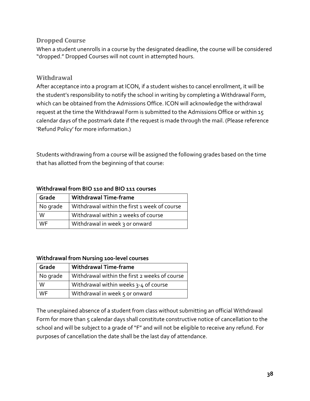#### <span id="page-42-0"></span>**Dropped Course**

When a student unenrolls in a course by the designated deadline, the course will be considered "dropped." Dropped Courses will not count in attempted hours.

#### <span id="page-42-1"></span>**Withdrawal**

After acceptance into a program at ICON, if a student wishes to cancel enrollment, it will be the student's responsibility to notify the school in writing by completing a Withdrawal Form, which can be obtained from the Admissions Office. ICON will acknowledge the withdrawal request at the time the Withdrawal Form is submitted to the Admissions Office or within 15 calendar days of the postmark date if the request is made through the mail. (Please reference 'Refund Policy' for more information.)

Students withdrawing from a course will be assigned the following grades based on the time that has allotted from the beginning of that course:

| Grade    | <b>Withdrawal Time-frame</b>                 |
|----------|----------------------------------------------|
| No grade | Withdrawal within the first 1 week of course |
| W        | Withdrawal within 2 weeks of course          |
| WF       | Withdrawal in week 3 or onward               |

#### **Withdrawal from BIO 110 and BIO 111 courses**

#### **Withdrawal from Nursing 100-level courses**

| Grade     | <b>Withdrawal Time-frame</b>                  |
|-----------|-----------------------------------------------|
| No grade  | Withdrawal within the first 2 weeks of course |
| W         | Withdrawal within weeks 3-4 of course         |
| <b>WF</b> | Withdrawal in week 5 or onward                |

The unexplained absence of a student from class without submitting an official Withdrawal Form for more than 5 calendar days shall constitute constructive notice of cancellation to the school and will be subject to a grade of "F" and will not be eligible to receive any refund. For purposes of cancellation the date shall be the last day of attendance.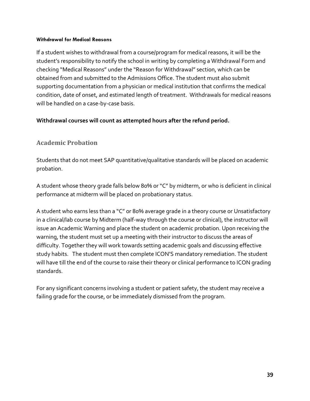#### **Withdrawal for Medical Reasons**

If a student wishes to withdrawal from a course/program for medical reasons, it will be the student's responsibility to notify the school in writing by completing a Withdrawal Form and checking "Medical Reasons" under the "Reason for Withdrawal" section, which can be obtained from and submitted to the Admissions Office. The student must also submit supporting documentation from a physician or medical institution that confirms the medical condition, date of onset, and estimated length of treatment. Withdrawals for medical reasons will be handled on a case-by-case basis.

#### **Withdrawal courses will count as attempted hours after the refund period.**

#### <span id="page-43-0"></span>**Academic Probation**

Students that do not meet SAP quantitative/qualitative standards will be placed on academic probation.

A student whose theory grade falls below 80% or "C" by midterm, or who is deficient in clinical performance at midterm will be placed on probationary status.

A student who earns less than a "C" or 80% average grade in a theory course or Unsatisfactory in a clinical/lab course by Midterm (half-way through the course or clinical), the instructor will issue an Academic Warning and place the student on academic probation. Upon receiving the warning, the student must set up a meeting with their instructor to discuss the areas of difficulty. Together they will work towards setting academic goals and discussing effective study habits. The student must then complete ICON'S mandatory remediation. The student will have till the end of the course to raise their theory or clinical performance to ICON grading standards.

For any significant concerns involving a student or patient safety, the student may receive a failing grade for the course, or be immediately dismissed from the program.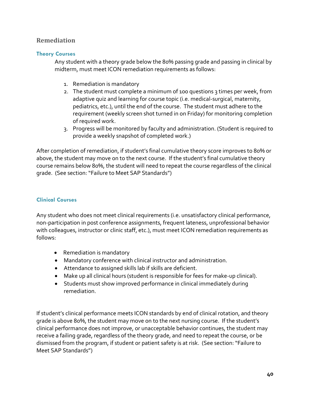#### <span id="page-44-0"></span>**Remediation**

#### <span id="page-44-1"></span>**Theory Courses**

Any student with a theory grade below the 80% passing grade and passing in clinical by midterm, must meet ICON remediation requirements as follows:

- 1. Remediation is mandatory
- 2. The student must complete a minimum of 100 questions 3 times per week, from adaptive quiz and learning for course topic (i.e. medical-surgical, maternity, pediatrics, etc.), until the end of the course. The student must adhere to the requirement (weekly screen shot turned in on Friday) for monitoring completion of required work.
- 3. Progress will be monitored by faculty and administration. (Student is required to provide a weekly snapshot of completed work.)

After completion of remediation, if student's final cumulative theory score improves to 80% or above, the student may move on to the next course. If the student's final cumulative theory course remains below 80%, the student will need to repeat the course regardless of the clinical grade. (See section: "Failure to Meet SAP Standards")

#### <span id="page-44-2"></span>**Clinical Courses**

Any student who does not meet clinical requirements (i.e. unsatisfactory clinical performance, non-participation in post conference assignments, frequent lateness, unprofessional behavior with colleagues, instructor or clinic staff, etc.), must meet ICON remediation requirements as follows:

- Remediation is mandatory
- Mandatory conference with clinical instructor and administration.
- Attendance to assigned skills lab if skills are deficient.
- Make up all clinical hours (student is responsible for fees for make-up clinical).
- Students must show improved performance in clinical immediately during remediation.

If student's clinical performance meets ICON standards by end of clinical rotation, and theory grade is above 80%, the student may move on to the next nursing course. If the student's clinical performance does not improve, or unacceptable behavior continues, the student may receive a failing grade, regardless of the theory grade, and need to repeat the course, or be dismissed from the program, if student or patient safety is at risk. (See section: "Failure to Meet SAP Standards")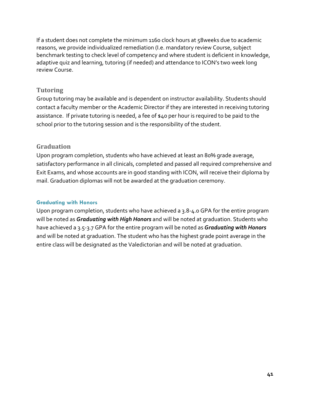If a student does not complete the minimum 1160 clock hours at 58weeks due to academic reasons, we provide individualized remediation (I.e. mandatory review Course, subject benchmark testing to check level of competency and where student is deficient in knowledge, adaptive quiz and learning, tutoring (if needed) and attendance to ICON's two week long review Course.

#### <span id="page-45-0"></span>**Tutoring**

Group tutoring may be available and is dependent on instructor availability. Students should contact a faculty member or the Academic Director if they are interested in receiving tutoring assistance. If private tutoring is needed, a fee of \$40 per hour is required to be paid to the school prior to the tutoring session and is the responsibility of the student.

#### <span id="page-45-1"></span>**Graduation**

Upon program completion, students who have achieved at least an 80% grade average, satisfactory performance in all clinicals, completed and passed all required comprehensive and Exit Exams, and whose accounts are in good standing with ICON, will receive their diploma by mail. Graduation diplomas will not be awarded at the graduation ceremony.

#### <span id="page-45-2"></span>**Graduating with Honors**

Upon program completion, students who have achieved a 3.8-4.0 GPA for the entire program will be noted as *Graduating with High Honors* and will be noted at graduation. Students who have achieved a 3.5-3.7 GPA for the entire program will be noted as *Graduating with Honors* and will be noted at graduation. The student who has the highest grade point average in the entire class will be designated as the Valedictorian and will be noted at graduation.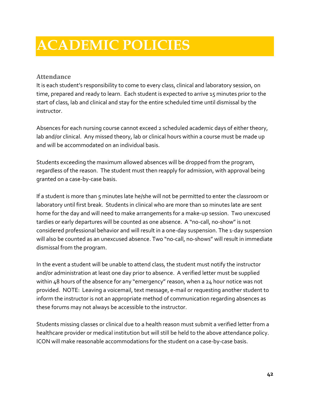### <span id="page-46-0"></span>**ACADEMIC POLICIES**

#### <span id="page-46-1"></span>**Attendance**

It is each student's responsibility to come to every class, clinical and laboratory session, on time, prepared and ready to learn. Each student is expected to arrive 15 minutes prior to the start of class, lab and clinical and stay for the entire scheduled time until dismissal by the instructor.

Absences for each nursing course cannot exceed 2 scheduled academic days of either theory, lab and/or clinical. Any missed theory, lab or clinical hours within a course must be made up and will be accommodated on an individual basis.

Students exceeding the maximum allowed absences will be dropped from the program, regardless of the reason. The student must then reapply for admission, with approval being granted on a case-by-case basis.

If a student is more than 5 minutes late he/she will not be permitted to enter the classroom or laboratory until first break. Students in clinical who are more than 10 minutes late are sent home for the day and will need to make arrangements for a make-up session. Two unexcused tardies or early departures will be counted as one absence. A "no-call, no-show" is not considered professional behavior and will result in a one-day suspension. The 1-day suspension will also be counted as an unexcused absence. Two "no-call, no-shows" will result in immediate dismissal from the program.

In the event a student will be unable to attend class, the student must notify the instructor and/or administration at least one day prior to absence. A verified letter must be supplied within 48 hours of the absence for any "emergency" reason, when a 24 hour notice was not provided. NOTE: Leaving a voicemail, text message, e-mail or requesting another student to inform the instructor is not an appropriate method of communication regarding absences as these forums may not always be accessible to the instructor.

Students missing classes or clinical due to a health reason must submit a verified letter from a healthcare provider or medical institution but will still be held to the above attendance policy. ICON will make reasonable accommodations for the student on a case-by-case basis.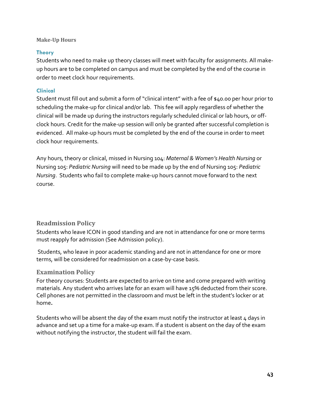#### <span id="page-47-0"></span>**Make-Up Hours**

#### <span id="page-47-1"></span>**Theory**

Students who need to make up theory classes will meet with faculty for assignments. All makeup hours are to be completed on campus and must be completed by the end of the course in order to meet clock hour requirements.

#### <span id="page-47-2"></span>**Clinical**

Student must fill out and submit a form of "clinical intent" with a fee of \$40.00 per hour prior to scheduling the make-up for clinical and/or lab. This fee will apply regardless of whether the clinical will be made up during the instructors regularly scheduled clinical or lab hours, or offclock hours. Credit for the make-up session will only be granted after successful completion is evidenced. All make-up hours must be completed by the end of the course in order to meet clock hour requirements.

Any hours, theory or clinical, missed in Nursing 104: *Maternal & Women's Health Nursing* or Nursing 105: *Pediatric Nursing* will need to be made up by the end of Nursing 105: *Pediatric Nursing*. Students who fail to complete make-up hours cannot move forward to the next course.

#### <span id="page-47-3"></span>**Readmission Policy**

Students who leave ICON in good standing and are not in attendance for one or more terms must reapply for admission (See Admission policy).

Students, who leave in poor academic standing and are not in attendance for one or more terms, will be considered for readmission on a case-by-case basis.

#### <span id="page-47-4"></span>**Examination Policy**

For theory courses: Students are expected to arrive on time and come prepared with writing materials. Any student who arrives late for an exam will have 15% deducted from their score. Cell phones are not permitted in the classroom and must be left in the student's locker or at home**.** 

Students who will be absent the day of the exam must notify the instructor at least  $\mu$  days in advance and set up a time for a make-up exam. If a student is absent on the day of the exam without notifying the instructor, the student will fail the exam.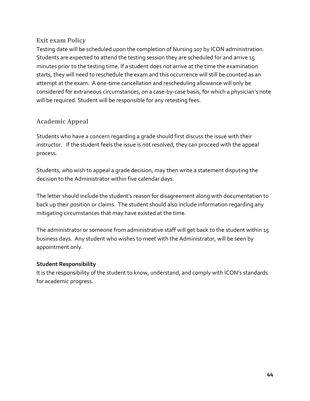#### <span id="page-48-0"></span>**Exit exam Policy**

Testing date will be scheduled upon the completion of Nursing 107 by ICON administration. Students are expected to attend the testing session they are scheduled for and arrive 15 minutes prior to the testing time. If a student does not arrive at the time the examination starts, they will need to reschedule the exam and this occurrence will still be counted as an attempt at the exam. A one-time cancellation and rescheduling allowance will only be considered for extraneous circumstances, on a case-by-case basis, for which a physician's note will be required. Student will be responsible for any retesting fees.

#### <span id="page-48-1"></span>**Academic Appeal**

Students who have a concern regarding a grade should first discuss the issue with their instructor. If the student feels the issue is not resolved, they can proceed with the appeal process.

Students, who wish to appeal a grade decision, may then write a statement disputing the decision to the Administrator within five calendar days.

The letter should include the student's reason for disagreement along with documentation to back up their position or claims. The student should also include information regarding any mitigating circumstances that may have existed at the time.

The administrator or someone from administrative staff will get back to the student within 15 business days. Any student who wishes to meet with the Administrator, will be seen by appointment only.

#### **Student Responsibility**

It is the responsibility of the student to know, understand, and comply with ICON's standards for academic progress.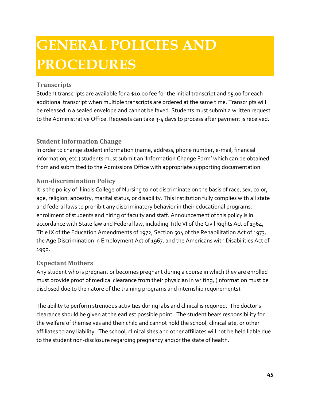## <span id="page-49-0"></span>**GENERAL POLICIES AND PROCEDURES**

#### <span id="page-49-1"></span>**Transcripts**

Student transcripts are available for a \$10.00 fee for the initial transcript and \$5.00 for each additional transcript when multiple transcripts are ordered at the same time. Transcripts will be released in a sealed envelope and cannot be faxed. Students must submit a written request to the Administrative Office. Requests can take 3-4 days to process after payment is received.

#### <span id="page-49-2"></span>**Student Information Change**

In order to change student information (name, address, phone number, e-mail, financial information, etc.) students must submit an 'Information Change Form' which can be obtained from and submitted to the Admissions Office with appropriate supporting documentation.

#### <span id="page-49-3"></span>**Non-discrimination Policy**

It is the policy of Illinois College of Nursing to not discriminate on the basis of race, sex, color, age, religion, ancestry, marital status, or disability. This institution fully complies with all state and federal laws to prohibit any discriminatory behavior in their educational programs, enrollment of students and hiring of faculty and staff. Announcement of this policy is in accordance with State law and Federal law, including Title VI of the Civil Rights Act of 1964, Title IX of the Education Amendments of 1972, Section 504 of the Rehabilitation Act of 1973, the Age Discrimination in Employment Act of 1967, and the Americans with Disabilities Act of 1990.

#### <span id="page-49-4"></span>**Expectant Mothers**

Any student who is pregnant or becomes pregnant during a course in which they are enrolled must provide proof of medical clearance from their physician in writing, (information must be disclosed due to the nature of the training programs and internship requirements).

The ability to perform strenuous activities during labs and clinical is required. The doctor's clearance should be given at the earliest possible point. The student bears responsibility for the welfare of themselves and their child and cannot hold the school, clinical site, or other affiliates to any liability. The school, clinical sites and other affiliates will not be held liable due to the student non-disclosure regarding pregnancy and/0r the state of health.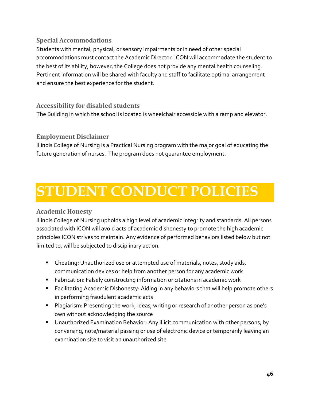#### <span id="page-50-0"></span>**Special Accommodations**

Students with mental, physical, or sensory impairments or in need of other special accommodations must contact the Academic Director. ICON will accommodate the student to the best of its ability, however, the College does not provide any mental health counseling. Pertinent information will be shared with faculty and staff to facilitate optimal arrangement and ensure the best experience for the student.

#### <span id="page-50-1"></span>**Accessibility for disabled students**

The Building in which the school is located is wheelchair accessible with a ramp and elevator.

#### <span id="page-50-2"></span>**Employment Disclaimer**

<span id="page-50-3"></span>Illinois College of Nursing is a Practical Nursing program with the major goal of educating the future generation of nurses. The program does not guarantee employment.

### **STUDENT CONDUCT POLICIES**

#### <span id="page-50-4"></span>**Academic Honesty**

Illinois College of Nursing upholds a high level of academic integrity and standards. All persons associated with ICON will avoid acts of academic dishonesty to promote the high academic principles ICON strives to maintain. Any evidence of performed behaviors listed below but not limited to, will be subjected to disciplinary action.

- **EXP** Cheating: Unauthorized use or attempted use of materials, notes, study aids, communication devices or help from another person for any academic work
- **Fabrication: Falsely constructing information or citations in academic work**
- Facilitating Academic Dishonesty: Aiding in any behaviors that will help promote others in performing fraudulent academic acts
- **Plagiarism: Presenting the work, ideas, writing or research of another person as one's** own without acknowledging the source
- **Unauthorized Examination Behavior: Any illicit communication with other persons, by** conversing, note/material passing or use of electronic device or temporarily leaving an examination site to visit an unauthorized site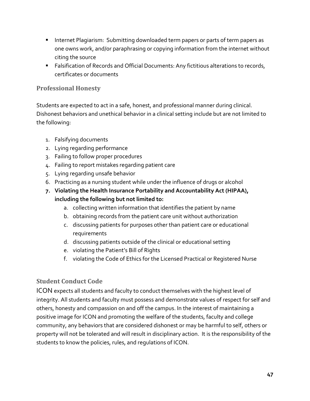- **Internet Plagiarism: Submitting downloaded term papers or parts of term papers as** one owns work, and/or paraphrasing or copying information from the internet without citing the source
- **Falsification of Records and Official Documents: Any fictitious alterations to records,** certificates or documents

#### <span id="page-51-0"></span>**Professional Honesty**

Students are expected to act in a safe, honest, and professional manner during clinical. Dishonest behaviors and unethical behavior in a clinical setting include but are not limited to the following:

- 1. Falsifying documents
- 2. Lying regarding performance
- 3. Failing to follow proper procedures
- 4. Failing to report mistakes regarding patient care
- 5. Lying regarding unsafe behavior
- 6. Practicing as a nursing student while under the influence of drugs or alcohol
- **7. Violating the Health Insurance Portability and Accountability Act (HIPAA), including the following but not limited to:** 
	- a. collecting written information that identifies the patient by name
	- b. obtaining records from the patient care unit without authorization
	- c. discussing patients for purposes other than patient care or educational requirements
	- d. discussing patients outside of the clinical or educational setting
	- e. violating the Patient's Bill of Rights
	- f. violating the Code of Ethics for the Licensed Practical or Registered Nurse

#### <span id="page-51-1"></span>**Student Conduct Code**

ICON expects all students and faculty to conduct themselves with the highest level of integrity. All students and faculty must possess and demonstrate values of respect for self and others, honesty and compassion on and off the campus. In the interest of maintaining a positive image for ICON and promoting the welfare of the students, faculty and college community, any behaviors that are considered dishonest or may be harmful to self, others or property will not be tolerated and will result in disciplinary action. It is the responsibility of the students to know the policies, rules, and regulations of ICON.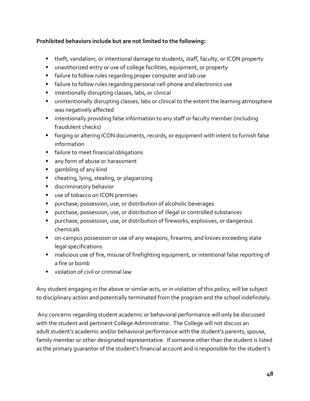#### **Prohibited behaviors include but are not limited to the following:**

- theft, vandalism, or intentional damage to students, staff, faculty, or ICON property
- unauthorized entry or use of college facilities, equipment, or property
- failure to follow rules regarding proper computer and lab use
- failure to follow rules regarding personal cell-phone and electronics use
- **E** intentionally disrupting classes, labs, or clinical
- unintentionally disrupting classes, labs or clinical to the extent the learning atmosphere was negatively affected
- **EXT** intentionally providing false information to any staff or faculty member (including fraudulent checks)
- forging or altering ICON documents, records, or equipment with intent to furnish false information
- **failure to meet financial obligations**
- **any form of abuse or harassment**
- **qambling of any kind**
- **E** cheating, lying, stealing, or plagiarizing
- **discriminatory behavior**
- **use of tobacco on ICON premises**
- purchase, possession, use, or distribution of alcoholic beverages
- purchase, possession, use, or distribution of illegal or controlled substances
- purchase, possession, use, or distribution of fireworks, explosives, or dangerous chemicals
- on-campus possession or use of any weapons, firearms, and knives exceeding state legal specifications
- malicious use of fire, misuse of firefighting equipment, or intentional false reporting of a fire or bomb
- violation of civil or criminal law

Any student engaging in the above or similar acts, or in violation of this policy, will be subject to disciplinary action and potentially terminated from the program and the school indefinitely.

Any concerns regarding student academic or behavioral performance will only be discussed with the student and pertinent College Administrator. The College will not discuss an adult student's academic and/or behavioral performance with the student's parents, spouse, family member or other designated representative. If someone other than the student is listed as the primary guarantor of the student's financial account and is responsible for the student's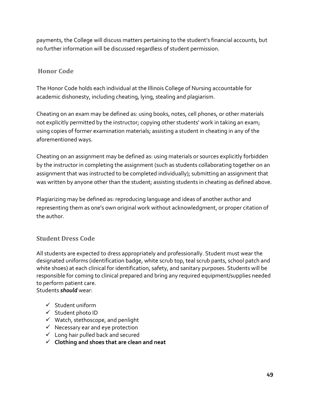payments, the College will discuss matters pertaining to the student's financial accounts, but no further information will be discussed regardless of student permission.

#### <span id="page-53-0"></span>**Honor Code**

The Honor Code holds each individual at the Illinois College of Nursing accountable for academic dishonesty, including cheating, lying, stealing and plagiarism.

Cheating on an exam may be defined as: using books, notes, cell phones, or other materials not explicitly permitted by the instructor; copying other students' work in taking an exam; using copies of former examination materials; assisting a student in cheating in any of the aforementioned ways.

Cheating on an assignment may be defined as: using materials or sources explicitly forbidden by the instructor in completing the assignment (such as students collaborating together on an assignment that was instructed to be completed individually); submitting an assignment that was written by anyone other than the student; assisting students in cheating as defined above.

Plagiarizing may be defined as: reproducing language and ideas of another author and representing them as one's own original work without acknowledgment, or proper citation of the author.

#### <span id="page-53-1"></span>**Student Dress Code**

All students are expected to dress appropriately and professionally. Student must wear the designated uniforms (identification badge, white scrub top, teal scrub pants, school patch and white shoes) at each clinical for identification, safety, and sanitary purposes. Students will be responsible for coming to clinical prepared and bring any required equipment/supplies needed to perform patient care. Students *should* wear:

- $\checkmark$  Student uniform
- $\checkmark$  Student photo ID
- $\checkmark$  Watch, stethoscope, and penlight
- $\checkmark$  Necessary ear and eye protection
- $\checkmark$  Long hair pulled back and secured
- **Clothing and shoes that are clean and neat**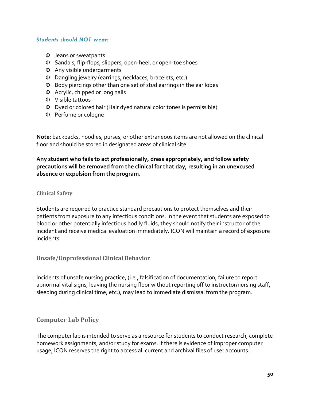#### *Students should NOT wear:*

- Φ Jeans or sweatpants
- Φ Sandals, flip-flops, slippers, open-heel, or open-toe shoes
- Φ Any visible undergarments
- Φ Dangling jewelry (earrings, necklaces, bracelets, etc.)
- Φ Body piercings other than one set of stud earrings in the ear lobes
- Φ Acrylic, chipped or long nails
- Φ Visible tattoos
- Φ Dyed or colored hair (Hair dyed natural color tones is permissible)
- Φ Perfume or cologne

**Note**: backpacks, hoodies, purses, or other extraneous items are not allowed on the clinical floor and should be stored in designated areas of clinical site.

**Any student who fails to act professionally, dress appropriately, and follow safety precautions will be removed from the clinical for that day, resulting in an unexcused absence or expulsion from the program.**

#### <span id="page-54-0"></span>**Clinical Safety**

Students are required to practice standard precautions to protect themselves and their patients from exposure to any infectious conditions. In the event that students are exposed to blood or other potentially infectious bodily fluids, they should notify their instructor of the incident and receive medical evaluation immediately. ICON will maintain a record of exposure incidents.

#### <span id="page-54-1"></span>**Unsafe/Unprofessional Clinical Behavior**

Incidents of unsafe nursing practice, (i.e., falsification of documentation, failure to report abnormal vital signs, leaving the nursing floor without reporting off to instructor/nursing staff, sleeping during clinical time, etc.), may lead to immediate dismissal from the program.

#### <span id="page-54-2"></span>**Computer Lab Policy**

The computer lab is intended to serve as a resource for students to conduct research, complete homework assignments, and/or study for exams. If there is evidence of improper computer usage, ICON reserves the right to access all current and archival files of user accounts.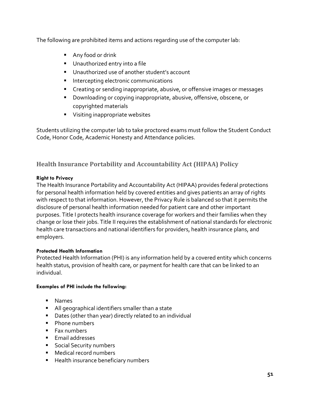The following are prohibited items and actions regarding use of the computer lab:

- **Any food or drink**
- Unauthorized entry into a file
- **Unauthorized use of another student's account**
- **Intercepting electronic communications**
- **Creating or sending inappropriate, abusive, or offensive images or messages**
- **Downloading or copying inappropriate, abusive, offensive, obscene, or** copyrighted materials
- **Visiting inappropriate websites**

Students utilizing the computer lab to take proctored exams must follow the Student Conduct Code, Honor Code, Academic Honesty and Attendance policies.

#### <span id="page-55-0"></span>**Health Insurance Portability and Accountability Act (HIPAA) Policy**

#### **Right to Privacy**

The Health Insurance Portability and Accountability Act (HIPAA) provides federal protections for personal health information held by covered entities and gives patients an array of rights with respect to that information. However, the Privacy Rule is balanced so that it permits the disclosure of personal health information needed for patient care and other important purposes. Title I protects health insurance coverage for workers and their families when they change or lose their jobs. Title II requires the establishment of national standards for electronic health care transactions and national identifiers for providers, health insurance plans, and employers.

#### **Protected Health Information**

Protected Health Information (PHI) is any information held by a covered entity which concerns health status, provision of health care, or payment for health care that can be linked to an individual.

#### **Examples of PHI include the following:**

- **Names**
- All geographical identifiers smaller than a state
- Dates (other than year) directly related to an individual
- Phone numbers
- $F$ ax numbers
- **Email addresses**
- **Social Security numbers**
- **Medical record numbers**
- **Health insurance beneficiary numbers**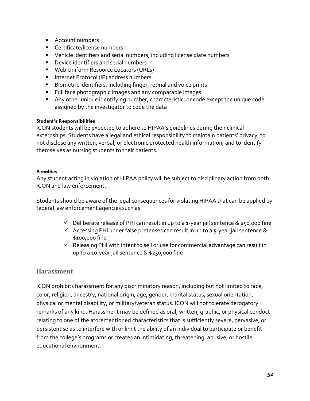- **Account numbers**
- **Certificate/license numbers**
- Vehicle identifiers and serial numbers, including license plate numbers
- **•** Device identifiers and serial numbers
- **Web Uniform Resource Locators (URLs)**
- **Internet Protocol (IP) address numbers**
- **Biometric identifiers, including finger, retinal and voice prints**
- Full face photographic images and any comparable images
- Any other unique identifying number, characteristic, or code except the unique code assigned by the investigator to code the data

#### **Student's Responsibilities**

ICON students will be expected to adhere to HIPAA's guidelines during their clinical externships. Students have a legal and ethical responsibility to maintain patients' privacy, to not disclose any written, verbal, or electronic protected health information, and to identify themselves as nursing students to their patients.

#### **Penalties**

Any student acting in violation of HIPAA policy will be subject to disciplinary action from both ICON and law enforcement.

Students should be aware of the legal consequences for violating HIPAA that can be applied by federal law enforcement agencies such as:

- $\checkmark$  Deliberate release of PHI can result in up to a 1-year jail sentence & \$50,000 fine
- $\checkmark$  Accessing PHI under false pretenses can result in up to a 5-year jail sentence & \$100,000 fine
- $\checkmark$  Releasing PHI with intent to sell or use for commercial advantage can result in up to a 10-year jail sentence & \$250,000 fine

#### <span id="page-56-0"></span>**Harassment**

ICON prohibits harassment for any discriminatory reason, including but not limited to race, color, religion, ancestry, national origin, age, gender, marital status, sexual orientation, physical or mental disability, or military/veteran status. ICON will not tolerate derogatory remarks of any kind. Harassment may be defined as oral, written, graphic, or physical conduct relating to one of the aforementioned characteristics that is sufficiently severe, pervasive, or persistent so as to interfere with or limit the ability of an individual to participate or benefit from the college's programs or creates an intimidating, threatening, abusive, or hostile educational environment.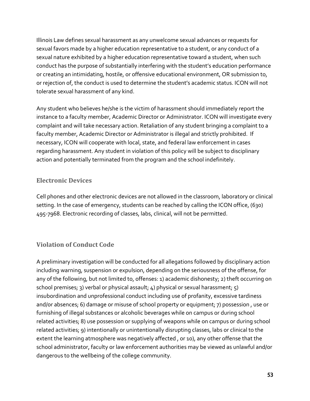Illinois Law defines sexual harassment as any unwelcome sexual advances or requests for sexual favors made by a higher education representative to a student, or any conduct of a sexual nature exhibited by a higher education representative toward a student, when such conduct has the purpose of substantially interfering with the student's education performance or creating an intimidating, hostile, or offensive educational environment, OR submission to, or rejection of, the conduct is used to determine the student's academic status. ICON will not tolerate sexual harassment of any kind.

Any student who believes he/she is the victim of harassment should immediately report the instance to a faculty member, Academic Director or Administrator. ICON will investigate every complaint and will take necessary action. Retaliation of any student bringing a complaint to a faculty member, Academic Director or Administrator is illegal and strictly prohibited. If necessary, ICON will cooperate with local, state, and federal law enforcement in cases regarding harassment. Any student in violation of this policy will be subject to disciplinary action and potentially terminated from the program and the school indefinitely.

#### <span id="page-57-0"></span>**Electronic Devices**

Cell phones and other electronic devices are not allowed in the classroom, laboratory or clinical setting. In the case of emergency, students can be reached by calling the ICON office, (630) 495-7968. Electronic recording of classes, labs, clinical, will not be permitted.

#### <span id="page-57-1"></span>**Violation of Conduct Code**

A preliminary investigation will be conducted for all allegations followed by disciplinary action including warning, suspension or expulsion, depending on the seriousness of the offense, for any of the following, but not limited to, offenses: 1) academic dishonesty; 2) theft occurring on school premises; 3) verbal or physical assault; 4) physical or sexual harassment; 5) insubordination and unprofessional conduct including use of profanity, excessive tardiness and/or absences; 6) damage or misuse of school property or equipment; 7) possession , use or furnishing of illegal substances or alcoholic beverages while on campus or during school related activities; 8) use possession or supplying of weapons while on campus or during school related activities; 9) intentionally or unintentionally disrupting classes, labs or clinical to the extent the learning atmosphere was negatively affected , or 10), any other offense that the school administrator, faculty or law enforcement authorities may be viewed as unlawful and/or dangerous to the wellbeing of the college community.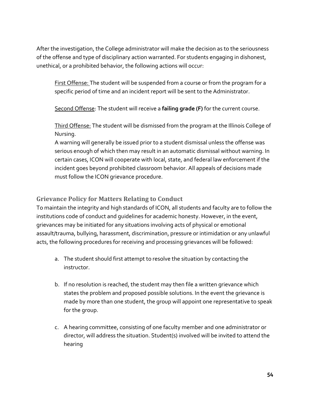After the investigation, the College administrator will make the decision as to the seriousness of the offense and type of disciplinary action warranted. For students engaging in dishonest, unethical, or a prohibited behavior, the following actions will occur:

First Offense: The student will be suspended from a course or from the program for a specific period of time and an incident report will be sent to the Administrator.

Second Offense: The student will receive a **failing grade (F)** for the current course.

Third Offense: The student will be dismissed from the program at the Illinois College of Nursing.

A warning will generally be issued prior to a student dismissal unless the offense was serious enough of which then may result in an automatic dismissal without warning. In certain cases, ICON will cooperate with local, state, and federal law enforcement if the incident goes beyond prohibited classroom behavior. All appeals of decisions made must follow the ICON grievance procedure.

#### <span id="page-58-0"></span>**Grievance Policy for Matters Relating to Conduct**

To maintain the integrity and high standards of ICON, all students and faculty are to follow the institutions code of conduct and guidelines for academic honesty. However, in the event, grievances may be initiated for any situations involving acts of physical or emotional assault/trauma, bullying, harassment, discrimination, pressure or intimidation or any unlawful acts, the following procedures for receiving and processing grievances will be followed:

- a. The student should first attempt to resolve the situation by contacting the instructor.
- b. If no resolution is reached, the student may then file a written grievance which states the problem and proposed possible solutions. In the event the grievance is made by more than one student, the group will appoint one representative to speak for the group.
- c. A hearing committee, consisting of one faculty member and one administrator or director, will address the situation. Student(s) involved will be invited to attend the hearing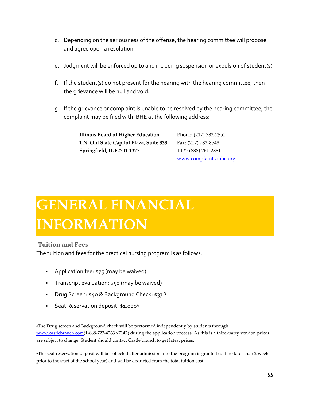- d. Depending on the seriousness of the offense, the hearing committee will propose and agree upon a resolution
- e. Judgment will be enforced up to and including suspension or expulsion of student(s)
- f. If the student(s) do not present for the hearing with the hearing committee, then the grievance will be null and void.
- g. If the grievance or complaint is unable to be resolved by the hearing committee, the complaint may be filed with IBHE at the following address:

**Illinois Board of Higher Education 1 N. Old State Capitol Plaza, Suite 333 Springfield, IL 62701-1377**

Phone: (217) 782-2551 Fax: (217) 782-8548 TTY: (888) 261-2881 [www.complaints.ibhe.org](http://www.complaints.ibhe.org/)

## <span id="page-59-0"></span>**GENERAL FINANCIAL INFORMATION**

<span id="page-59-1"></span>**Tuition and Fees**

The tuition and fees for the practical nursing program is as follows:

- **Application fee: \$75 (may be waived)**
- **Transcript evaluation: \$50 (may be waived)**
- Drug Screen:  $$40$  & Background Check:  $$37$  $$37$  $$37$   $$3$
- **Seat Reservation deposit: \$1,000[4](#page-59-3)**

<span id="page-59-2"></span><sup>3</sup>The Drug screen and Background check will be performed independently by students through [www.castlebranch.com\(](http://www.castlebranch.com/)1-888-723-4263 x7142) during the application process. As this is a third-party vendor, prices are subject to change. Student should contact Castle branch to get latest prices.

<span id="page-59-3"></span><sup>4</sup>The seat reservation deposit will be collected after admission into the program is granted (but no later than 2 weeks prior to the start of the school year) and will be deducted from the total tuition cost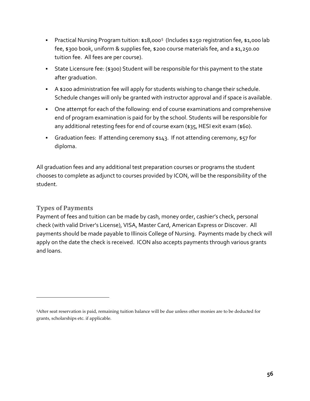- Practical Nursing Program tuition: \$18,000<sup>[5](#page-60-1)</sup> (Includes \$250 registration fee, \$1,000 lab fee, \$300 book, uniform & supplies fee, \$200 course materials fee, and a \$1,250.00 tuition fee. All fees are per course).
- State Licensure fee: (\$300) Student will be responsible for this payment to the state after graduation.
- A \$200 administration fee will apply for students wishing to change their schedule. Schedule changes will only be granted with instructor approval and if space is available.
- One attempt for each of the following: end of course examinations and comprehensive end of program examination is paid for by the school. Students will be responsible for any additional retesting fees for end of course exam (\$35, HESI exit exam (\$60).
- Graduation fees: If attending ceremony \$143. If not attending ceremony, \$57 for diploma.

All graduation fees and any additional test preparation courses or programs the student chooses to complete as adjunct to courses provided by ICON, will be the responsibility of the student.

#### <span id="page-60-0"></span>**Types of Payments**

Payment of fees and tuition can be made by cash, money order, cashier's check, personal check (with valid Driver's License), VISA, Master Card, American Express or Discover. All payments should be made payable to Illinois College of Nursing. Payments made by check will apply on the date the check is received. ICON also accepts payments through various grants and loans.

<span id="page-60-1"></span><sup>5</sup>After seat reservation is paid, remaining tuition balance will be due unless other monies are to be deducted for grants, scholarships etc. if applicable.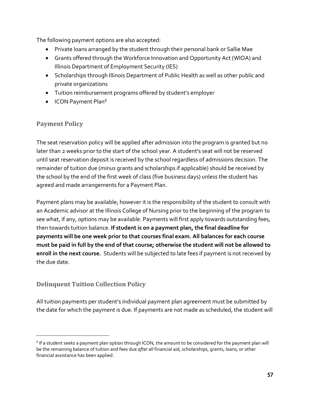The following payment options are also accepted:

- Private loans arranged by the student through their personal bank or Sallie Mae
- Grants offered through the Workforce Innovation and Opportunity Act (WIOA) and Illinois Department of Employment Security (IES)
- Scholarships through Illinois Department of Public Health as well as other public and private organizations
- Tuition reimbursement programs offered by student's employer
- ICON Payment Plan<sup>[6](#page-61-2)</sup>

#### <span id="page-61-0"></span>**Payment Policy**

The seat reservation policy will be applied after admission into the program is granted but no later than 2 weeks prior to the start of the school year. A student's seat will not be reserved until seat reservation deposit is received by the school regardless of admissions decision. The remainder of tuition due (minus grants and scholarships if applicable) should be received by the school by the end of the first week of class (five business days) unless the student has agreed and made arrangements for a Payment Plan.

Payment plans may be available; however it is the responsibility of the student to consult with an Academic advisor at the Illinois College of Nursing prior to the beginning of the program to see what, if any, options may be available. Payments will first apply towards outstanding fees, then towards tuition balance. **If student is on a payment plan, the final deadline for payments will be one week prior to that courses final exam. All balances for each course must be paid in full by the end of that course; otherwise the student will not be allowed to enroll in the next course.** Students will be subjected to late fees if payment is not received by the due date.

#### <span id="page-61-1"></span>**Delinquent Tuition Collection Policy**

All tuition payments per student's individual payment plan agreement must be submitted by the date for which the payment is due. If payments are not made as scheduled, the student will

<span id="page-61-2"></span> $6$  If a student seeks a payment plan option through ICON, the amount to be considered for the payment plan will be the remaining balance of tuition and fees due *after* all financial aid, scholarships, grants, loans, or other financial assistance has been applied.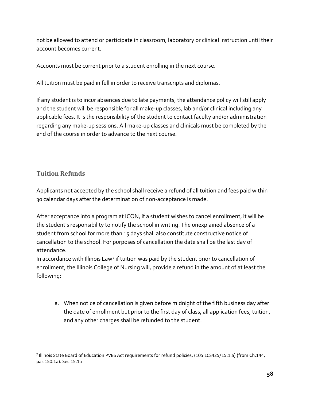not be allowed to attend or participate in classroom, laboratory or clinical instruction until their account becomes current.

Accounts must be current prior to a student enrolling in the next course.

All tuition must be paid in full in order to receive transcripts and diplomas.

If any student is to incur absences due to late payments, the attendance policy will still apply and the student will be responsible for all make-up classes, lab and/or clinical including any applicable fees. It is the responsibility of the student to contact faculty and/or administration regarding any make-up sessions. All make-up classes and clinicals must be completed by the end of the course in order to advance to the next course.

#### <span id="page-62-0"></span>**Tuition Refunds**

Applicants not accepted by the school shall receive a refund of all tuition and fees paid within 30 calendar days after the determination of non-acceptance is made.

After acceptance into a program at ICON, if a student wishes to cancel enrollment, it will be the student's responsibility to notify the school in writing. The unexplained absence of a student from school for more than 15 days shall also constitute constructive notice of cancellation to the school. For purposes of cancellation the date shall be the last day of attendance.

In accordance with Illinois Law[7](#page-62-1) if tuition was paid by the student prior to cancellation of enrollment, the Illinois College of Nursing will, provide a refund in the amount of at least the following:

a. When notice of cancellation is given before midnight of the fifth business day after the date of enrollment but prior to the first day of class, all application fees, tuition, and any other charges shall be refunded to the student.

<span id="page-62-1"></span><sup>7</sup> Illinois State Board of Education PVBS Act requirements for refund policies, (105ILCS425/15.1.a) (from Ch.144, par.150.1a). Sec 15.1a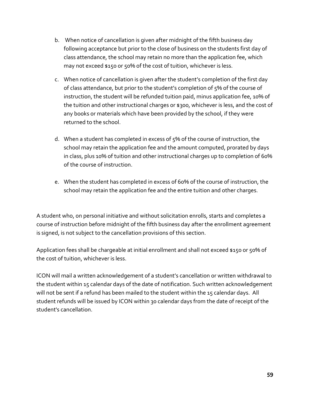- b. When notice of cancellation is given after midnight of the fifth business day following acceptance but prior to the close of business on the students first day of class attendance, the school may retain no more than the application fee, which may not exceed \$150 or 50% of the cost of tuition, whichever is less.
- c. When notice of cancellation is given after the student's completion of the first day of class attendance, but prior to the student's completion of 5% of the course of instruction, the student will be refunded tuition paid, minus application fee, 10% of the tuition and other instructional charges or \$300, whichever is less, and the cost of any books or materials which have been provided by the school, if they were returned to the school.
- d. When a student has completed in excess of 5% of the course of instruction, the school may retain the application fee and the amount computed, prorated by days in class, plus 10% of tuition and other instructional charges up to completion of 60% of the course of instruction.
- e. When the student has completed in excess of 60% of the course of instruction, the school may retain the application fee and the entire tuition and other charges.

A student who, on personal initiative and without solicitation enrolls, starts and completes a course of instruction before midnight of the fifth business day after the enrollment agreement is signed, is not subject to the cancellation provisions of this section.

Application fees shall be chargeable at initial enrollment and shall not exceed \$150 or 50% of the cost of tuition, whichever is less.

ICON will mail a written acknowledgement of a student's cancellation or written withdrawal to the student within 15 calendar days of the date of notification. Such written acknowledgement will not be sent if a refund has been mailed to the student within the 15 calendar days. All student refunds will be issued by ICON within 30 calendar days from the date of receipt of the student's cancellation.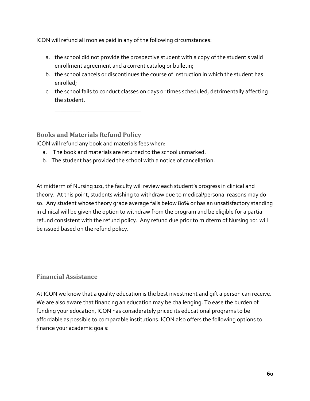ICON will refund all monies paid in any of the following circumstances:

- a. the school did not provide the prospective student with a copy of the student's valid enrollment agreement and a current catalog or bulletin;
- b. the school cancels or discontinues the course of instruction in which the student has enrolled;
- c. the school fails to conduct classes on days or times scheduled, detrimentally affecting the student.

<span id="page-64-0"></span>**Books and Materials Refund Policy**

ICON will refund any book and materials fees when:

\_\_\_\_\_\_\_\_\_\_\_\_\_\_\_\_\_\_\_\_\_\_\_\_\_\_\_\_\_

- a. The book and materials are returned to the school unmarked.
- b. The student has provided the school with a notice of cancellation.

At midterm of Nursing 101, the faculty will review each student's progress in clinical and theory. At this point, students wishing to withdraw due to medical/personal reasons may do so. Any student whose theory grade average falls below 80% or has an unsatisfactory standing in clinical will be given the option to withdraw from the program and be eligible for a partial refund consistent with the refund policy. Any refund due prior to midterm of Nursing 101 will be issued based on the refund policy.

#### <span id="page-64-1"></span>**Financial Assistance**

At ICON we know that a quality education is the best investment and gift a person can receive. We are also aware that financing an education may be challenging. To ease the burden of funding your education, ICON has considerately priced its educational programs to be affordable as possible to comparable institutions. ICON also offers the following options to finance your academic goals: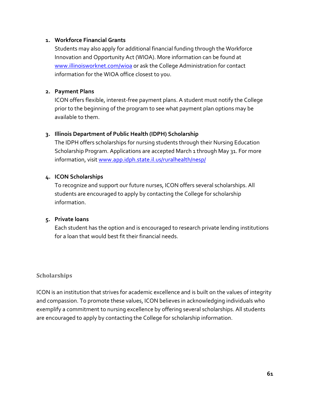#### **1. Workforce Financial Grants**

Students may also apply for additional financial funding through the Workforce Innovation and Opportunity Act (WIOA). More information can be found at [www.illinoisworknet.com/wioa](http://www.illinoisworknet.com/wioa) or ask the College Administration for contact information for the WIOA office closest to you.

#### **2. Payment Plans**

ICON offers flexible, interest-free payment plans. A student must notify the College prior to the beginning of the program to see what payment plan options may be available to them.

#### **3. Illinois Department of Public Health (IDPH) Scholarship**

The IDPH offers scholarships for nursing students through their Nursing Education Scholarship Program. Applications are accepted March 1 through May 31. For more information, visit [www.app.idph.state.il.us/ruralhealth/nesp/](http://www.app.idph.state.il.us/ruralhealth/nesp/) 

#### **4. ICON Scholarships**

To recognize and support our future nurses, ICON offers several scholarships. All students are encouraged to apply by contacting the College for scholarship information.

#### **5. Private loans**

Each student has the option and is encouraged to research private lending institutions for a loan that would best fit their financial needs.

#### <span id="page-65-0"></span>**Scholarships**

ICON is an institution that strives for academic excellence and is built on the values of integrity and compassion. To promote these values, ICON believes in acknowledging individuals who exemplify a commitment to nursing excellence by offering several scholarships. All students are encouraged to apply by contacting the College for scholarship information.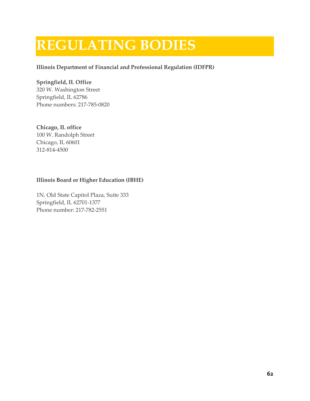### <span id="page-66-0"></span>**REGULATING BODIES**

#### **Illinois Department of Financial and Professional Regulation (IDFPR)**

#### **Springfield, IL Office**

320 W. Washington Street Springfield, IL 62786 Phone numbers: 217-785-0820

**Chicago, IL office** 100 W. Randolph Street Chicago, IL 60601 312-814-4500

#### **Illinois Board or Higher Education (IBHE)**

1N. Old State Capitol Plaza, Suite 333 Springfield, IL 62701-1377 Phone number: 217-782-2551